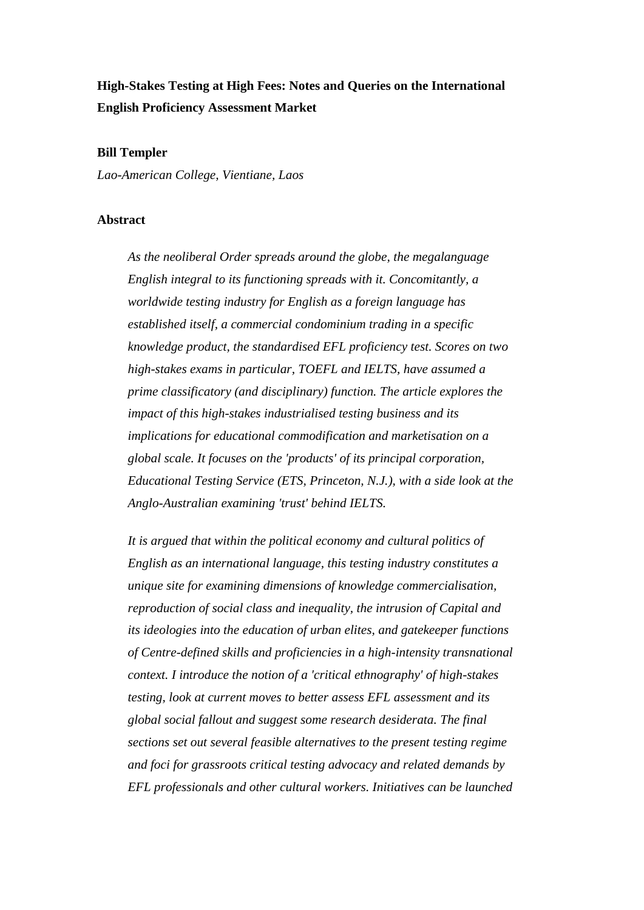# **High-Stakes Testing at High Fees: Notes and Queries on the International English Proficiency Assessment Market**

#### **Bill Templer**

*Lao-American College, Vientiane, Laos*

#### **Abstract**

*As the neoliberal Order spreads around the globe, the megalanguage English integral to its functioning spreads with it. Concomitantly, a worldwide testing industry for English as a foreign language has established itself, a commercial condominium trading in a specific knowledge product, the standardised EFL proficiency test. Scores on two high-stakes exams in particular, TOEFL and IELTS, have assumed a prime classificatory (and disciplinary) function. The article explores the impact of this high-stakes industrialised testing business and its implications for educational commodification and marketisation on a global scale. It focuses on the 'products' of its principal corporation, Educational Testing Service (ETS, Princeton, N.J.), with a side look at the Anglo-Australian examining 'trust' behind IELTS.* 

*It is argued that within the political economy and cultural politics of English as an international language, this testing industry constitutes a unique site for examining dimensions of knowledge commercialisation, reproduction of social class and inequality, the intrusion of Capital and its ideologies into the education of urban elites, and gatekeeper functions of Centre-defined skills and proficiencies in a high-intensity transnational context. I introduce the notion of a 'critical ethnography' of high-stakes testing, look at current moves to better assess EFL assessment and its global social fallout and suggest some research desiderata. The final sections set out several feasible alternatives to the present testing regime and foci for grassroots critical testing advocacy and related demands by EFL professionals and other cultural workers. Initiatives can be launched*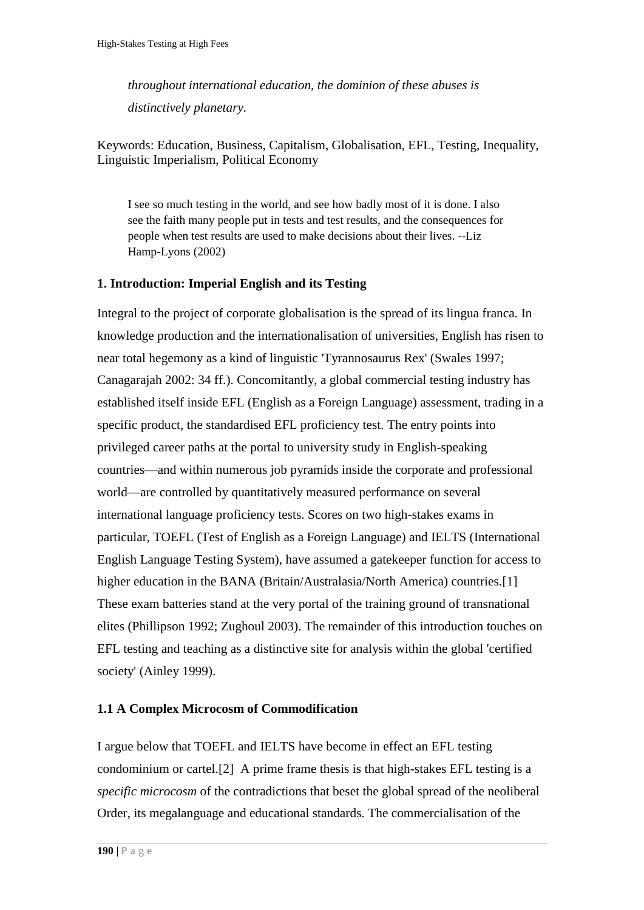*throughout international education, the dominion of these abuses is distinctively planetary.*

Keywords: Education, Business, Capitalism, Globalisation, EFL, Testing, Inequality, Linguistic Imperialism, Political Economy

I see so much testing in the world, and see how badly most of it is done. I also see the faith many people put in tests and test results, and the consequences for people when test results are used to make decisions about their lives. --Liz Hamp-Lyons (2002)

## **1. Introduction: Imperial English and its Testing**

Integral to the project of corporate globalisation is the spread of its lingua franca. In knowledge production and the internationalisation of universities, English has risen to near total hegemony as a kind of linguistic 'Tyrannosaurus Rex' (Swales 1997; Canagarajah 2002: 34 ff.). Concomitantly, a global commercial testing industry has established itself inside EFL (English as a Foreign Language) assessment, trading in a specific product, the standardised EFL proficiency test. The entry points into privileged career paths at the portal to university study in English-speaking countries—and within numerous job pyramids inside the corporate and professional world—are controlled by quantitatively measured performance on several international language proficiency tests. Scores on two high-stakes exams in particular, TOEFL (Test of English as a Foreign Language) and IELTS (International English Language Testing System), have assumed a gatekeeper function for access to higher education in the BANA (Britain/Australasia/North America) countries.<sup>[1]</sup> These exam batteries stand at the very portal of the training ground of transnational elites (Phillipson 1992; Zughoul 2003). The remainder of this introduction touches on EFL testing and teaching as a distinctive site for analysis within the global 'certified society' (Ainley 1999).

## **1.1 A Complex Microcosm of Commodification**

I argue below that TOEFL and IELTS have become in effect an EFL testing condominium or cartel[.\[2\]](http://www.jceps.com/index.php?pageID=article&articleID=21#_edn2) A prime frame thesis is that high-stakes EFL testing is a *specific microcosm* of the contradictions that beset the global spread of the neoliberal Order, its megalanguage and educational standards. The commercialisation of the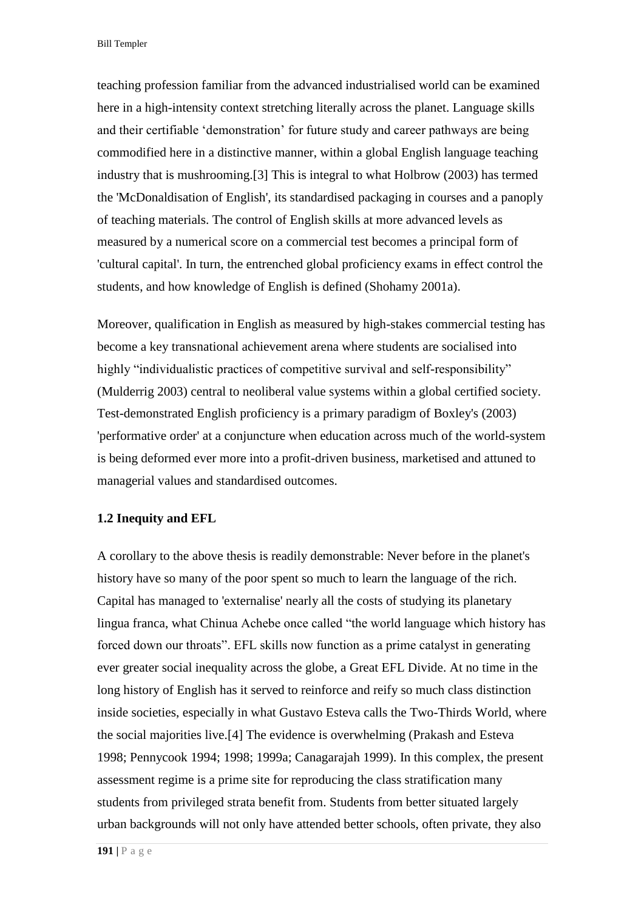Bill Templer

teaching profession familiar from the advanced industrialised world can be examined here in a high-intensity context stretching literally across the planet. Language skills and their certifiable 'demonstration' for future study and career pathways are being commodified here in a distinctive manner, within a global English language teaching industry that is mushrooming[.\[3\] T](http://www.jceps.com/index.php?pageID=article&articleID=21#_edn3)his is integral to what Holbrow (2003) has termed the 'McDonaldisation of English', its standardised packaging in courses and a panoply of teaching materials. The control of English skills at more advanced levels as measured by a numerical score on a commercial test becomes a principal form of 'cultural capital'. In turn, the entrenched global proficiency exams in effect control the students, and how knowledge of English is defined (Shohamy 2001a).

Moreover, qualification in English as measured by high-stakes commercial testing has become a key transnational achievement arena where students are socialised into highly "individualistic practices of competitive survival and self-responsibility" (Mulderrig 2003) central to neoliberal value systems within a global certified society. Test-demonstrated English proficiency is a primary paradigm of Boxley's (2003) 'performative order' at a conjuncture when education across much of the world-system is being deformed ever more into a profit-driven business, marketised and attuned to managerial values and standardised outcomes.

#### **1.2 Inequity and EFL**

A corollary to the above thesis is readily demonstrable: Never before in the planet's history have so many of the poor spent so much to learn the language of the rich. Capital has managed to 'externalise' nearly all the costs of studying its planetary lingua franca, what Chinua Achebe once called "the world language which history has forced down our throats". EFL skills now function as a prime catalyst in generating ever greater social inequality across the globe, a Great EFL Divide. At no time in the long history of English has it served to reinforce and reify so much class distinction inside societies, especially in what Gustavo Esteva calls the Two-Thirds World, where the social majorities live[.\[4\] T](http://www.jceps.com/index.php?pageID=article&articleID=21#_edn4)he evidence is overwhelming (Prakash and Esteva 1998; Pennycook 1994; 1998; 1999a; Canagarajah 1999). In this complex, the present assessment regime is a prime site for reproducing the class stratification many students from privileged strata benefit from. Students from better situated largely urban backgrounds will not only have attended better schools, often private, they also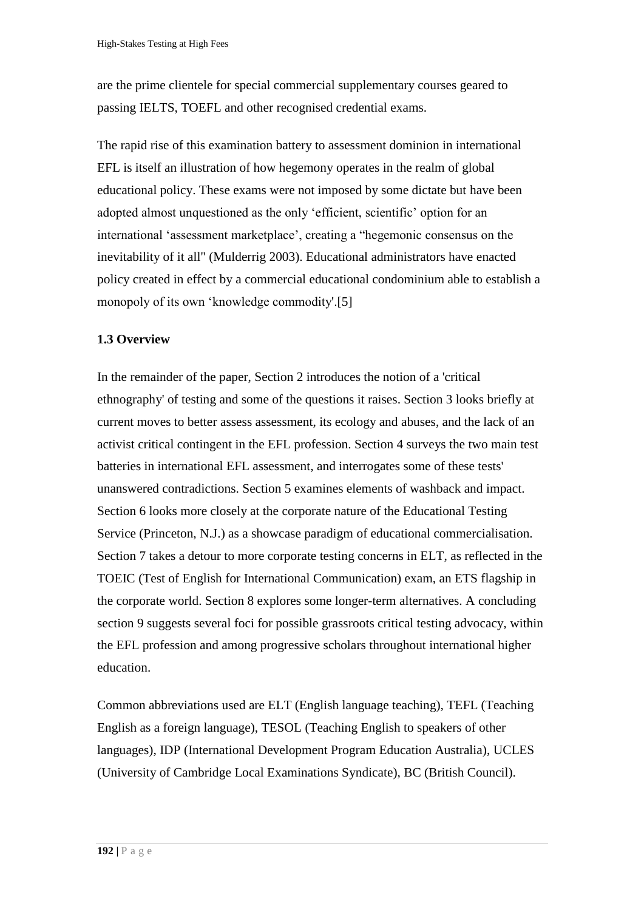are the prime clientele for special commercial supplementary courses geared to passing IELTS, TOEFL and other recognised credential exams.

The rapid rise of this examination battery to assessment dominion in international EFL is itself an illustration of how hegemony operates in the realm of global educational policy. These exams were not imposed by some dictate but have been adopted almost unquestioned as the only 'efficient, scientific' option for an international 'assessment marketplace', creating a "hegemonic consensus on the inevitability of it all" (Mulderrig 2003). Educational administrators have enacted policy created in effect by a commercial educational condominium able to establish a monopoly of its own 'knowledge commodity'[.\[5\]](http://www.jceps.com/index.php?pageID=article&articleID=21#_edn5) 

## **1.3 Overview**

In the remainder of the paper, Section 2 introduces the notion of a 'critical ethnography' of testing and some of the questions it raises. Section 3 looks briefly at current moves to better assess assessment, its ecology and abuses, and the lack of an activist critical contingent in the EFL profession. Section 4 surveys the two main test batteries in international EFL assessment, and interrogates some of these tests' unanswered contradictions. Section 5 examines elements of washback and impact. Section 6 looks more closely at the corporate nature of the Educational Testing Service (Princeton, N.J.) as a showcase paradigm of educational commercialisation. Section 7 takes a detour to more corporate testing concerns in ELT, as reflected in the TOEIC (Test of English for International Communication) exam, an ETS flagship in the corporate world. Section 8 explores some longer-term alternatives. A concluding section 9 suggests several foci for possible grassroots critical testing advocacy, within the EFL profession and among progressive scholars throughout international higher education.

Common abbreviations used are ELT (English language teaching), TEFL (Teaching English as a foreign language), TESOL (Teaching English to speakers of other languages), IDP (International Development Program Education Australia), UCLES (University of Cambridge Local Examinations Syndicate), BC (British Council).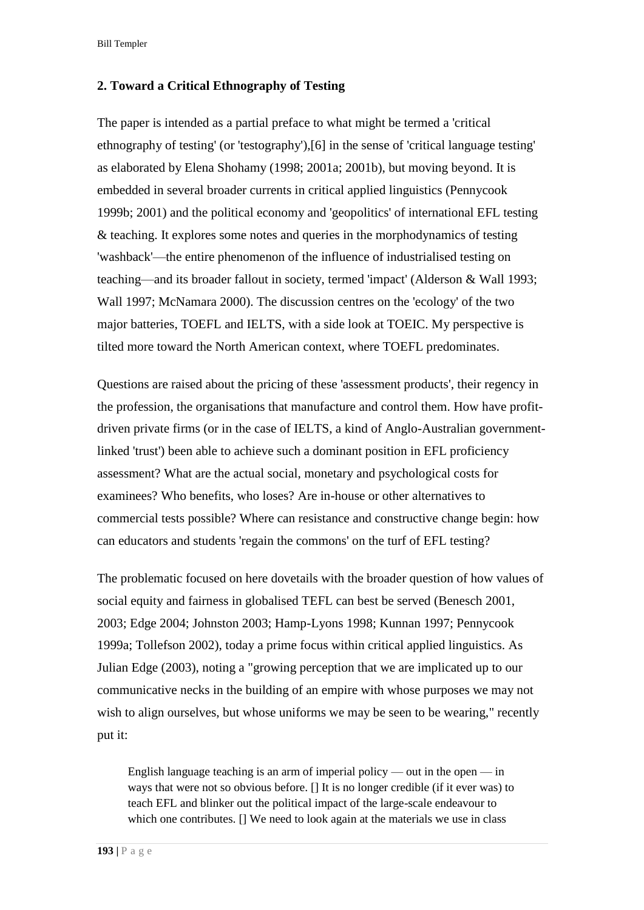Bill Templer

## **2. Toward a Critical Ethnography of Testing**

The paper is intended as a partial preface to what might be termed a 'critical ethnography of testing' (or 'testography')[,\[6\] i](http://www.jceps.com/index.php?pageID=article&articleID=21#_edn6)n the sense of 'critical language testing' as elaborated by Elena Shohamy (1998; 2001a; 2001b), but moving beyond. It is embedded in several broader currents in critical applied linguistics (Pennycook 1999b; 2001) and the political economy and 'geopolitics' of international EFL testing & teaching. It explores some notes and queries in the morphodynamics of testing 'washback'—the entire phenomenon of the influence of industrialised testing on teaching—and its broader fallout in society, termed 'impact' (Alderson & Wall 1993; Wall 1997; McNamara 2000). The discussion centres on the 'ecology' of the two major batteries, TOEFL and IELTS, with a side look at TOEIC. My perspective is tilted more toward the North American context, where TOEFL predominates.

Questions are raised about the pricing of these 'assessment products', their regency in the profession, the organisations that manufacture and control them. How have profitdriven private firms (or in the case of IELTS, a kind of Anglo-Australian governmentlinked 'trust') been able to achieve such a dominant position in EFL proficiency assessment? What are the actual social, monetary and psychological costs for examinees? Who benefits, who loses? Are in-house or other alternatives to commercial tests possible? Where can resistance and constructive change begin: how can educators and students 'regain the commons' on the turf of EFL testing?

The problematic focused on here dovetails with the broader question of how values of social equity and fairness in globalised TEFL can best be served (Benesch 2001, 2003; Edge 2004; Johnston 2003; Hamp-Lyons 1998; Kunnan 1997; Pennycook 1999a; Tollefson 2002), today a prime focus within critical applied linguistics. As Julian Edge (2003), noting a "growing perception that we are implicated up to our communicative necks in the building of an empire with whose purposes we may not wish to align ourselves, but whose uniforms we may be seen to be wearing," recently put it:

English language teaching is an arm of imperial policy — out in the open — in ways that were not so obvious before. [] It is no longer credible (if it ever was) to teach EFL and blinker out the political impact of the large-scale endeavour to which one contributes. [] We need to look again at the materials we use in class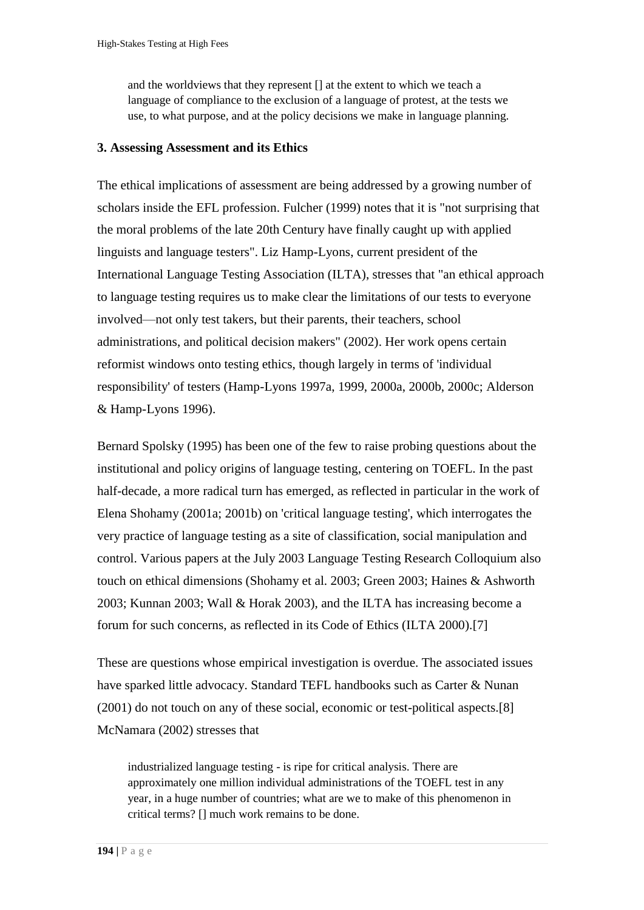and the worldviews that they represent [] at the extent to which we teach a language of compliance to the exclusion of a language of protest, at the tests we use, to what purpose, and at the policy decisions we make in language planning.

### **3. Assessing Assessment and its Ethics**

The ethical implications of assessment are being addressed by a growing number of scholars inside the EFL profession. Fulcher (1999) notes that it is "not surprising that the moral problems of the late 20th Century have finally caught up with applied linguists and language testers". Liz Hamp-Lyons, current president of the International Language Testing Association (ILTA), stresses that "an ethical approach to language testing requires us to make clear the limitations of our tests to everyone involved—not only test takers, but their parents, their teachers, school administrations, and political decision makers" (2002). Her work opens certain reformist windows onto testing ethics, though largely in terms of 'individual responsibility' of testers (Hamp-Lyons 1997a, 1999, 2000a, 2000b, 2000c; Alderson & Hamp-Lyons 1996).

Bernard Spolsky (1995) has been one of the few to raise probing questions about the institutional and policy origins of language testing, centering on TOEFL. In the past half-decade, a more radical turn has emerged, as reflected in particular in the work of Elena Shohamy (2001a; 2001b) on 'critical language testing', which interrogates the very practice of language testing as a site of classification, social manipulation and control. Various papers at the July 2003 Language Testing Research Colloquium also touch on ethical dimensions (Shohamy et al. 2003; Green 2003; Haines & Ashworth 2003; Kunnan 2003; Wall & Horak 2003), and the ILTA has increasing become a forum for such concerns, as reflected in its Code of Ethics (ILTA 2000)[.\[7\]](http://www.jceps.com/index.php?pageID=article&articleID=21#_edn7) 

These are questions whose empirical investigation is overdue. The associated issues have sparked little advocacy. Standard TEFL handbooks such as Carter & Nunan (2001) do not touch on any of these social, economic or test-political aspects[.\[8\]](http://www.jceps.com/index.php?pageID=article&articleID=21#_edn8)  McNamara (2002) stresses that

industrialized language testing - is ripe for critical analysis. There are approximately one million individual administrations of the TOEFL test in any year, in a huge number of countries; what are we to make of this phenomenon in critical terms? [] much work remains to be done.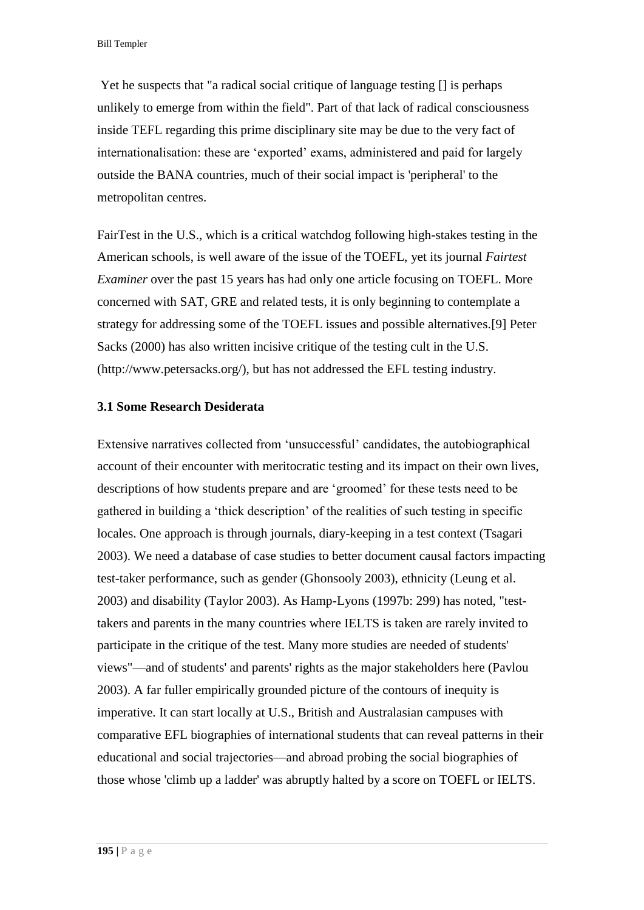Yet he suspects that "a radical social critique of language testing [] is perhaps unlikely to emerge from within the field". Part of that lack of radical consciousness inside TEFL regarding this prime disciplinary site may be due to the very fact of internationalisation: these are 'exported' exams, administered and paid for largely outside the BANA countries, much of their social impact is 'peripheral' to the metropolitan centres.

FairTest in the U.S., which is a critical watchdog following high-stakes testing in the American schools, is well aware of the issue of the TOEFL, yet its journal *Fairtest Examiner* over the past 15 years has had only one article focusing on TOEFL. More concerned with SAT, GRE and related tests, it is only beginning to contemplate a strategy for addressing some of the TOEFL issues and possible alternatives[.\[9\]](http://www.jceps.com/index.php?pageID=article&articleID=21#_edn9) Peter Sacks (2000) has also written incisive critique of the testing cult in the U.S. [\(http://www.petersacks.org/\)](http://www.petersacks.org/), but has not addressed the EFL testing industry.

#### **3.1 Some Research Desiderata**

Extensive narratives collected from 'unsuccessful' candidates, the autobiographical account of their encounter with meritocratic testing and its impact on their own lives, descriptions of how students prepare and are 'groomed' for these tests need to be gathered in building a 'thick description' of the realities of such testing in specific locales. One approach is through journals, diary-keeping in a test context (Tsagari 2003). We need a database of case studies to better document causal factors impacting test-taker performance, such as gender (Ghonsooly 2003), ethnicity (Leung et al. 2003) and disability (Taylor 2003). As Hamp-Lyons (1997b: 299) has noted, "testtakers and parents in the many countries where IELTS is taken are rarely invited to participate in the critique of the test. Many more studies are needed of students' views"—and of students' and parents' rights as the major stakeholders here (Pavlou 2003). A far fuller empirically grounded picture of the contours of inequity is imperative. It can start locally at U.S., British and Australasian campuses with comparative EFL biographies of international students that can reveal patterns in their educational and social trajectories—and abroad probing the social biographies of those whose 'climb up a ladder' was abruptly halted by a score on TOEFL or IELTS.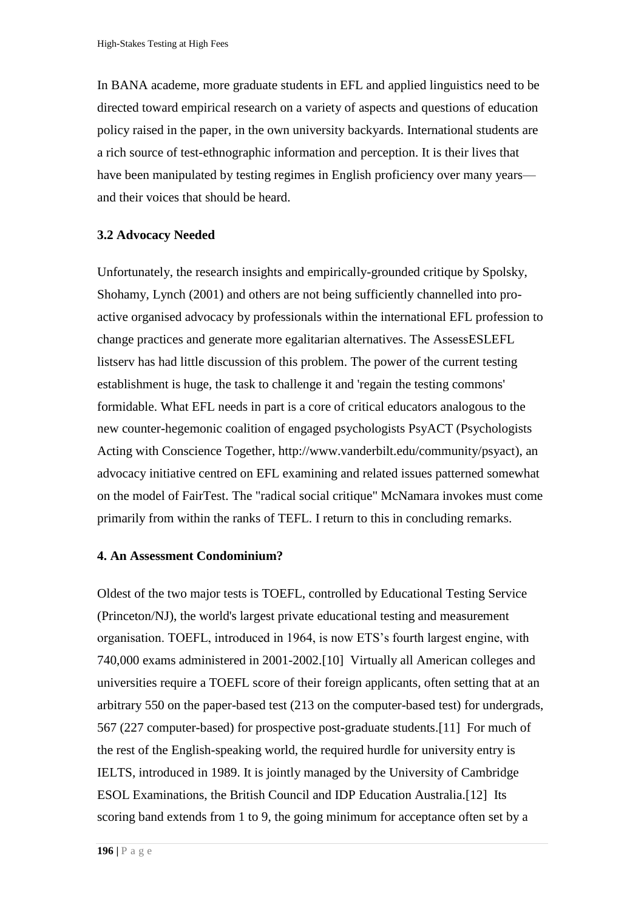In BANA academe, more graduate students in EFL and applied linguistics need to be directed toward empirical research on a variety of aspects and questions of education policy raised in the paper, in the own university backyards. International students are a rich source of test-ethnographic information and perception. It is their lives that have been manipulated by testing regimes in English proficiency over many years and their voices that should be heard.

#### **3.2 Advocacy Needed**

Unfortunately, the research insights and empirically-grounded critique by Spolsky, Shohamy, Lynch (2001) and others are not being sufficiently channelled into proactive organised advocacy by professionals within the international EFL profession to change practices and generate more egalitarian alternatives. The AssessESLEFL listserv has had little discussion of this problem. The power of the current testing establishment is huge, the task to challenge it and 'regain the testing commons' formidable. What EFL needs in part is a core of critical educators analogous to the new counter-hegemonic coalition of engaged psychologists PsyACT (Psychologists Acting with Conscience Together, [http://www.vanderbilt.edu/community/psyact\)](http://www.vanderbilt.edu/community/psyact), an advocacy initiative centred on EFL examining and related issues patterned somewhat on the model of FairTest. The "radical social critique" McNamara invokes must come primarily from within the ranks of TEFL. I return to this in concluding remarks.

#### **4. An Assessment Condominium?**

Oldest of the two major tests is TOEFL, controlled by Educational Testing Service (Princeton/NJ), the world's largest private educational testing and measurement organisation. TOEFL, introduced in 1964, is now ETS's fourth largest engine, with 740,000 exams administered in 2001-2002[.\[10\]](http://www.jceps.com/index.php?pageID=article&articleID=21#_edn10) Virtually all American colleges and universities require a TOEFL score of their foreign applicants, often setting that at an arbitrary 550 on the paper-based test (213 on the computer-based test) for undergrads, 567 (227 computer-based) for prospective post-graduate students[.\[11\]](http://www.jceps.com/index.php?pageID=article&articleID=21#_edn11) For much of the rest of the English-speaking world, the required hurdle for university entry is IELTS, introduced in 1989. It is jointly managed by the University of Cambridge ESOL Examinations, the British Council and IDP Education Australia[.\[12\]](http://www.jceps.com/index.php?pageID=article&articleID=21#_edn12) Its scoring band extends from 1 to 9, the going minimum for acceptance often set by a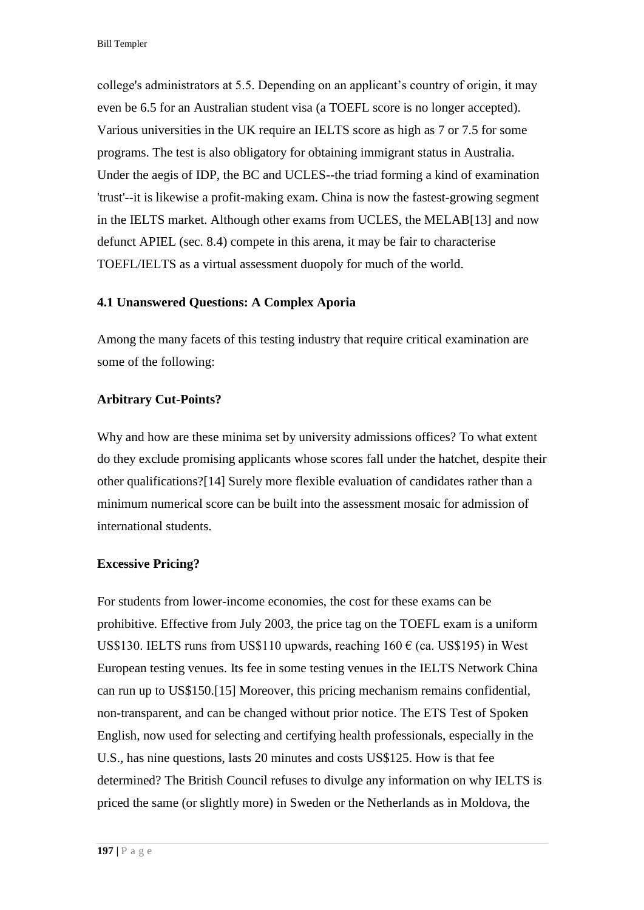college's administrators at 5.5. Depending on an applicant's country of origin, it may even be 6.5 for an Australian student visa (a TOEFL score is no longer accepted). Various universities in the UK require an IELTS score as high as 7 or 7.5 for some programs. The test is also obligatory for obtaining immigrant status in Australia. Under the aegis of IDP, the BC and UCLES--the triad forming a kind of examination 'trust'--it is likewise a profit-making exam. China is now the fastest-growing segment in the IELTS market. Although other exams from UCLES, the MELA[B\[13\] a](http://www.jceps.com/index.php?pageID=article&articleID=21#_edn13)nd now defunct APIEL (sec. 8.4) compete in this arena, it may be fair to characterise TOEFL/IELTS as a virtual assessment duopoly for much of the world.

### **4.1 Unanswered Questions: A Complex Aporia**

Among the many facets of this testing industry that require critical examination are some of the following:

### **Arbitrary Cut-Points?**

Why and how are these minima set by university admissions offices? To what extent do they exclude promising applicants whose scores fall under the hatchet, despite their other qualifications[?\[14\] S](http://www.jceps.com/index.php?pageID=article&articleID=21#_edn14)urely more flexible evaluation of candidates rather than a minimum numerical score can be built into the assessment mosaic for admission of international students.

#### **Excessive Pricing?**

For students from lower-income economies, the cost for these exams can be prohibitive. Effective from July 2003, the price tag on the TOEFL exam is a uniform US\$130. IELTS runs from US\$110 upwards, reaching  $160 \in (ca. US$195)$  in West European testing venues. Its fee in some testing venues in the IELTS Network China can run up to US\$150[.\[15\] M](http://www.jceps.com/index.php?pageID=article&articleID=21#_edn15)oreover, this pricing mechanism remains confidential, non-transparent, and can be changed without prior notice. The ETS Test of Spoken English, now used for selecting and certifying health professionals, especially in the U.S., has nine questions, lasts 20 minutes and costs US\$125. How is that fee determined? The British Council refuses to divulge any information on why IELTS is priced the same (or slightly more) in Sweden or the Netherlands as in Moldova, the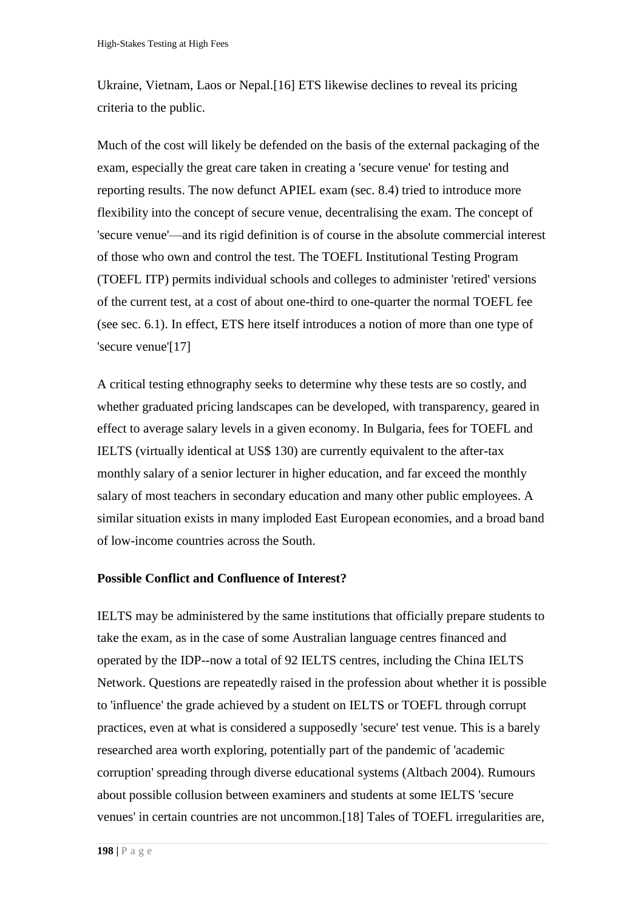Ukraine, Vietnam, Laos or Nepal[.\[16\] E](http://www.jceps.com/index.php?pageID=article&articleID=21#_edn16)TS likewise declines to reveal its pricing criteria to the public.

Much of the cost will likely be defended on the basis of the external packaging of the exam, especially the great care taken in creating a 'secure venue' for testing and reporting results. The now defunct APIEL exam (sec. 8.4) tried to introduce more flexibility into the concept of secure venue, decentralising the exam. The concept of 'secure venue'—and its rigid definition is of course in the absolute commercial interest of those who own and control the test. The TOEFL Institutional Testing Program (TOEFL ITP) permits individual schools and colleges to administer 'retired' versions of the current test, at a cost of about one-third to one-quarter the normal TOEFL fee (see sec. 6.1). In effect, ETS here itself introduces a notion of more than one type of 'secure venu[e'\[17\]](http://www.jceps.com/index.php?pageID=article&articleID=21#_edn17) 

A critical testing ethnography seeks to determine why these tests are so costly, and whether graduated pricing landscapes can be developed, with transparency, geared in effect to average salary levels in a given economy. In Bulgaria, fees for TOEFL and IELTS (virtually identical at US\$ 130) are currently equivalent to the after-tax monthly salary of a senior lecturer in higher education, and far exceed the monthly salary of most teachers in secondary education and many other public employees. A similar situation exists in many imploded East European economies, and a broad band of low-income countries across the South.

#### **Possible Conflict and Confluence of Interest?**

IELTS may be administered by the same institutions that officially prepare students to take the exam, as in the case of some Australian language centres financed and operated by the IDP--now a total of 92 IELTS centres, including the China IELTS Network. Questions are repeatedly raised in the profession about whether it is possible to 'influence' the grade achieved by a student on IELTS or TOEFL through corrupt practices, even at what is considered a supposedly 'secure' test venue. This is a barely researched area worth exploring, potentially part of the pandemic of 'academic corruption' spreading through diverse educational systems (Altbach 2004). Rumours about possible collusion between examiners and students at some IELTS 'secure venues' in certain countries are not uncommon[.\[18\]](http://www.jceps.com/index.php?pageID=article&articleID=21#_edn18) Tales of TOEFL irregularities are,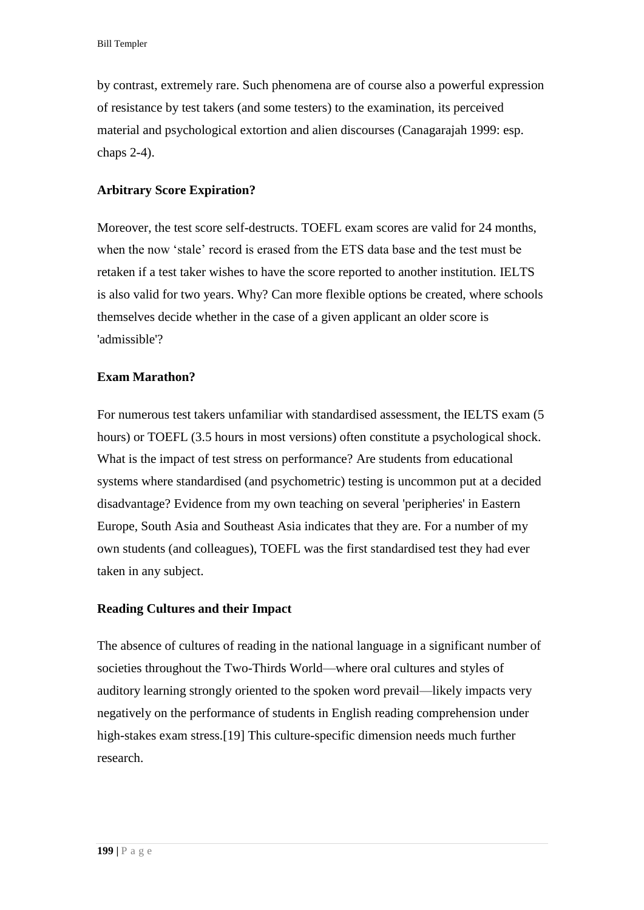by contrast, extremely rare. Such phenomena are of course also a powerful expression of resistance by test takers (and some testers) to the examination, its perceived material and psychological extortion and alien discourses (Canagarajah 1999: esp. chaps 2-4).

## **Arbitrary Score Expiration?**

Moreover, the test score self-destructs. TOEFL exam scores are valid for 24 months, when the now 'stale' record is erased from the ETS data base and the test must be retaken if a test taker wishes to have the score reported to another institution. IELTS is also valid for two years. Why? Can more flexible options be created, where schools themselves decide whether in the case of a given applicant an older score is 'admissible'?

### **Exam Marathon?**

For numerous test takers unfamiliar with standardised assessment, the IELTS exam (5 hours) or TOEFL (3.5 hours in most versions) often constitute a psychological shock. What is the impact of test stress on performance? Are students from educational systems where standardised (and psychometric) testing is uncommon put at a decided disadvantage? Evidence from my own teaching on several 'peripheries' in Eastern Europe, South Asia and Southeast Asia indicates that they are. For a number of my own students (and colleagues), TOEFL was the first standardised test they had ever taken in any subject.

## **Reading Cultures and their Impact**

The absence of cultures of reading in the national language in a significant number of societies throughout the Two-Thirds World—where oral cultures and styles of auditory learning strongly oriented to the spoken word prevail—likely impacts very negatively on the performance of students in English reading comprehension under high-stakes exam stress[.\[19\] T](http://www.jceps.com/index.php?pageID=article&articleID=21#_edn19)his culture-specific dimension needs much further research.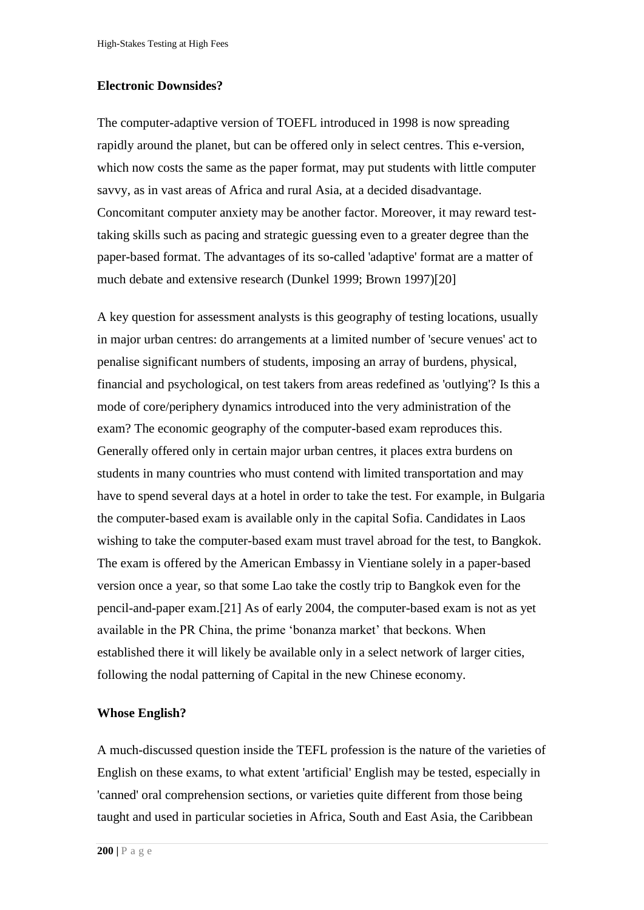#### **Electronic Downsides?**

The computer-adaptive version of TOEFL introduced in 1998 is now spreading rapidly around the planet, but can be offered only in select centres. This e-version, which now costs the same as the paper format, may put students with little computer savvy, as in vast areas of Africa and rural Asia, at a decided disadvantage. Concomitant computer anxiety may be another factor. Moreover, it may reward testtaking skills such as pacing and strategic guessing even to a greater degree than the paper-based format. The advantages of its so-called 'adaptive' format are a matter of much debate and extensive research (Dunkel 1999; Brown 1997[\)\[20\]](http://www.jceps.com/index.php?pageID=article&articleID=21#_edn20) 

A key question for assessment analysts is this geography of testing locations, usually in major urban centres: do arrangements at a limited number of 'secure venues' act to penalise significant numbers of students, imposing an array of burdens, physical, financial and psychological, on test takers from areas redefined as 'outlying'? Is this a mode of core/periphery dynamics introduced into the very administration of the exam? The economic geography of the computer-based exam reproduces this. Generally offered only in certain major urban centres, it places extra burdens on students in many countries who must contend with limited transportation and may have to spend several days at a hotel in order to take the test. For example, in Bulgaria the computer-based exam is available only in the capital Sofia. Candidates in Laos wishing to take the computer-based exam must travel abroad for the test, to Bangkok. The exam is offered by the American Embassy in Vientiane solely in a paper-based version once a year, so that some Lao take the costly trip to Bangkok even for the pencil-and-paper exam[.\[21\] A](http://www.jceps.com/index.php?pageID=article&articleID=21#_edn21)s of early 2004, the computer-based exam is not as yet available in the PR China, the prime 'bonanza market' that beckons. When established there it will likely be available only in a select network of larger cities, following the nodal patterning of Capital in the new Chinese economy.

#### **Whose English?**

A much-discussed question inside the TEFL profession is the nature of the varieties of English on these exams, to what extent 'artificial' English may be tested, especially in 'canned' oral comprehension sections, or varieties quite different from those being taught and used in particular societies in Africa, South and East Asia, the Caribbean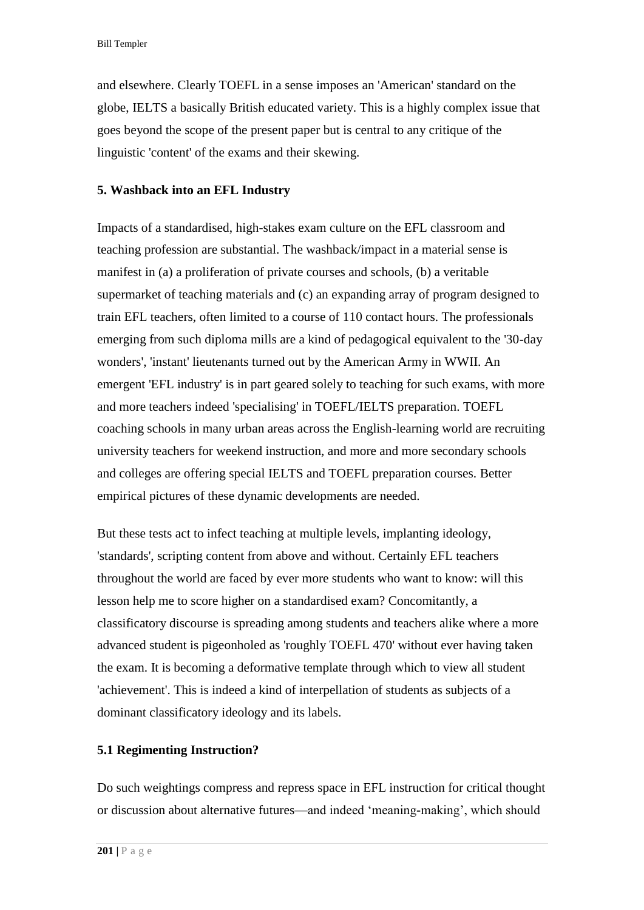Bill Templer

and elsewhere. Clearly TOEFL in a sense imposes an 'American' standard on the globe, IELTS a basically British educated variety. This is a highly complex issue that goes beyond the scope of the present paper but is central to any critique of the linguistic 'content' of the exams and their skewing.

## **5. Washback into an EFL Industry**

Impacts of a standardised, high-stakes exam culture on the EFL classroom and teaching profession are substantial. The washback/impact in a material sense is manifest in (a) a proliferation of private courses and schools, (b) a veritable supermarket of teaching materials and (c) an expanding array of program designed to train EFL teachers, often limited to a course of 110 contact hours. The professionals emerging from such diploma mills are a kind of pedagogical equivalent to the '30-day wonders', 'instant' lieutenants turned out by the American Army in WWII. An emergent 'EFL industry' is in part geared solely to teaching for such exams, with more and more teachers indeed 'specialising' in TOEFL/IELTS preparation. TOEFL coaching schools in many urban areas across the English-learning world are recruiting university teachers for weekend instruction, and more and more secondary schools and colleges are offering special IELTS and TOEFL preparation courses. Better empirical pictures of these dynamic developments are needed.

But these tests act to infect teaching at multiple levels, implanting ideology, 'standards', scripting content from above and without. Certainly EFL teachers throughout the world are faced by ever more students who want to know: will this lesson help me to score higher on a standardised exam? Concomitantly, a classificatory discourse is spreading among students and teachers alike where a more advanced student is pigeonholed as 'roughly TOEFL 470' without ever having taken the exam. It is becoming a deformative template through which to view all student 'achievement'. This is indeed a kind of interpellation of students as subjects of a dominant classificatory ideology and its labels.

## **5.1 Regimenting Instruction?**

Do such weightings compress and repress space in EFL instruction for critical thought or discussion about alternative futures—and indeed 'meaning-making', which should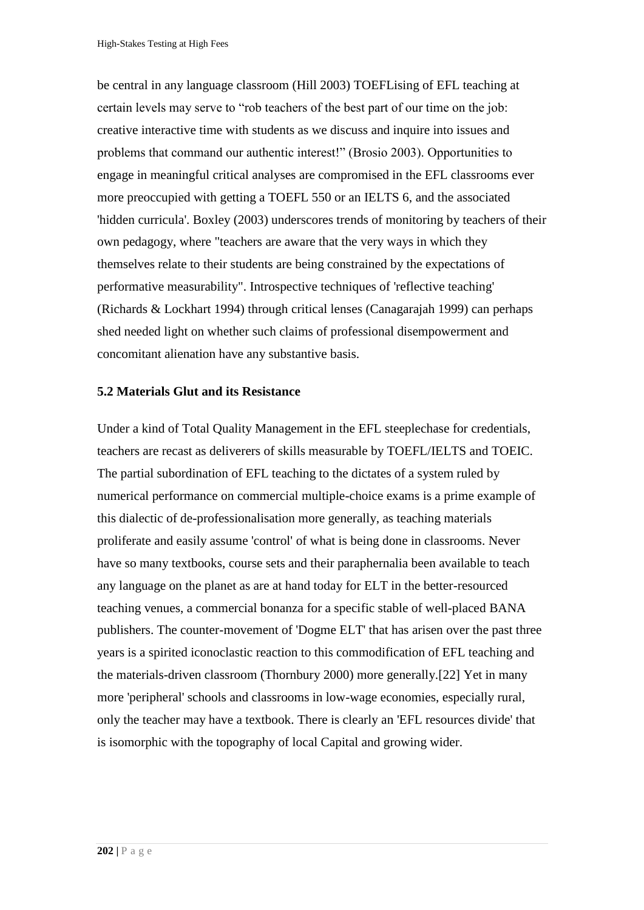be central in any language classroom (Hill 2003) TOEFLising of EFL teaching at certain levels may serve to "rob teachers of the best part of our time on the job: creative interactive time with students as we discuss and inquire into issues and problems that command our authentic interest!" (Brosio 2003). Opportunities to engage in meaningful critical analyses are compromised in the EFL classrooms ever more preoccupied with getting a TOEFL 550 or an IELTS 6, and the associated 'hidden curricula'. Boxley (2003) underscores trends of monitoring by teachers of their own pedagogy, where "teachers are aware that the very ways in which they themselves relate to their students are being constrained by the expectations of performative measurability". Introspective techniques of 'reflective teaching' (Richards & Lockhart 1994) through critical lenses (Canagarajah 1999) can perhaps shed needed light on whether such claims of professional disempowerment and concomitant alienation have any substantive basis.

#### **5.2 Materials Glut and its Resistance**

Under a kind of Total Quality Management in the EFL steeplechase for credentials, teachers are recast as deliverers of skills measurable by TOEFL/IELTS and TOEIC. The partial subordination of EFL teaching to the dictates of a system ruled by numerical performance on commercial multiple-choice exams is a prime example of this dialectic of de-professionalisation more generally, as teaching materials proliferate and easily assume 'control' of what is being done in classrooms. Never have so many textbooks, course sets and their paraphernalia been available to teach any language on the planet as are at hand today for ELT in the better-resourced teaching venues, a commercial bonanza for a specific stable of well-placed BANA publishers. The counter-movement of 'Dogme ELT' that has arisen over the past three years is a spirited iconoclastic reaction to this commodification of EFL teaching and the materials-driven classroom (Thornbury 2000) more generally[.\[22\]](http://www.jceps.com/index.php?pageID=article&articleID=21#_edn22) Yet in many more 'peripheral' schools and classrooms in low-wage economies, especially rural, only the teacher may have a textbook. There is clearly an 'EFL resources divide' that is isomorphic with the topography of local Capital and growing wider.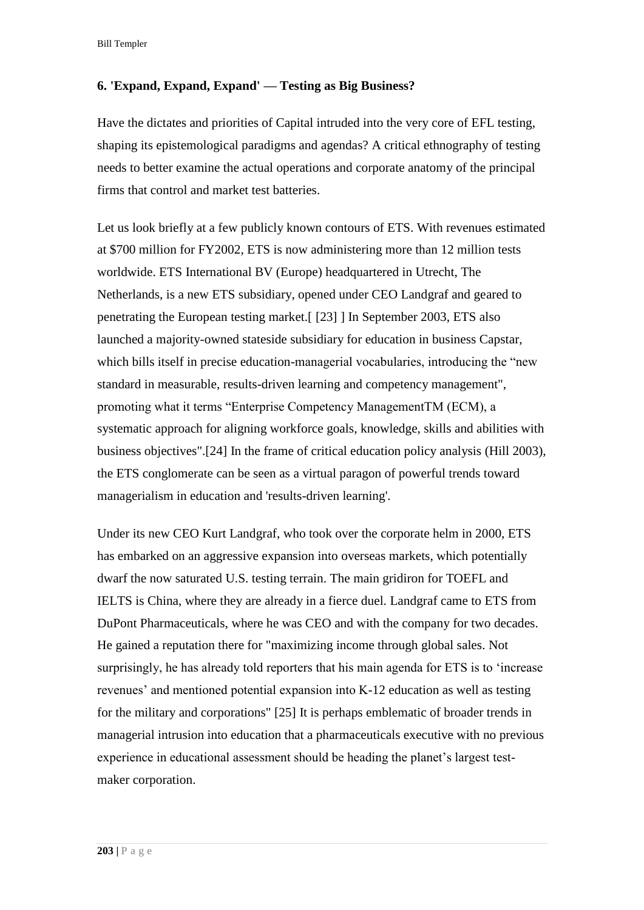Bill Templer

## **6. 'Expand, Expand, Expand' — Testing as Big Business?**

Have the dictates and priorities of Capital intruded into the very core of EFL testing, shaping its epistemological paradigms and agendas? A critical ethnography of testing needs to better examine the actual operations and corporate anatomy of the principal firms that control and market test batteries.

Let us look briefly at a few publicly known contours of ETS. With revenues estimated at \$700 million for FY2002, ETS is now administering more than 12 million tests worldwide. ETS International BV (Europe) headquartered in Utrecht, The Netherlands, is a new ETS subsidiary, opened under CEO Landgraf and geared to penetrating the European testing market.[ [\[23\] \]](http://www.jceps.com/index.php?pageID=article&articleID=21#_edn23) In September 2003, ETS also launched a majority-owned stateside subsidiary for education in business Capstar, which bills itself in precise education-managerial vocabularies, introducing the "new standard in measurable, results-driven learning and competency management", promoting what it terms "Enterprise Competency ManagementTM (ECM), a systematic approach for aligning workforce goals, knowledge, skills and abilities with business objectives"[.\[24\] I](http://www.jceps.com/index.php?pageID=article&articleID=21#_edn24)n the frame of critical education policy analysis (Hill 2003), the ETS conglomerate can be seen as a virtual paragon of powerful trends toward managerialism in education and 'results-driven learning'.

Under its new CEO Kurt Landgraf, who took over the corporate helm in 2000, ETS has embarked on an aggressive expansion into overseas markets, which potentially dwarf the now saturated U.S. testing terrain. The main gridiron for TOEFL and IELTS is China, where they are already in a fierce duel. Landgraf came to ETS from DuPont Pharmaceuticals, where he was CEO and with the company for two decades. He gained a reputation there for "maximizing income through global sales. Not surprisingly, he has already told reporters that his main agenda for ETS is to 'increase revenues' and mentioned potential expansion into K-12 education as well as testing for the military and corporations" [\[25\] I](http://www.jceps.com/index.php?pageID=article&articleID=21#_edn25)t is perhaps emblematic of broader trends in managerial intrusion into education that a pharmaceuticals executive with no previous experience in educational assessment should be heading the planet's largest testmaker corporation.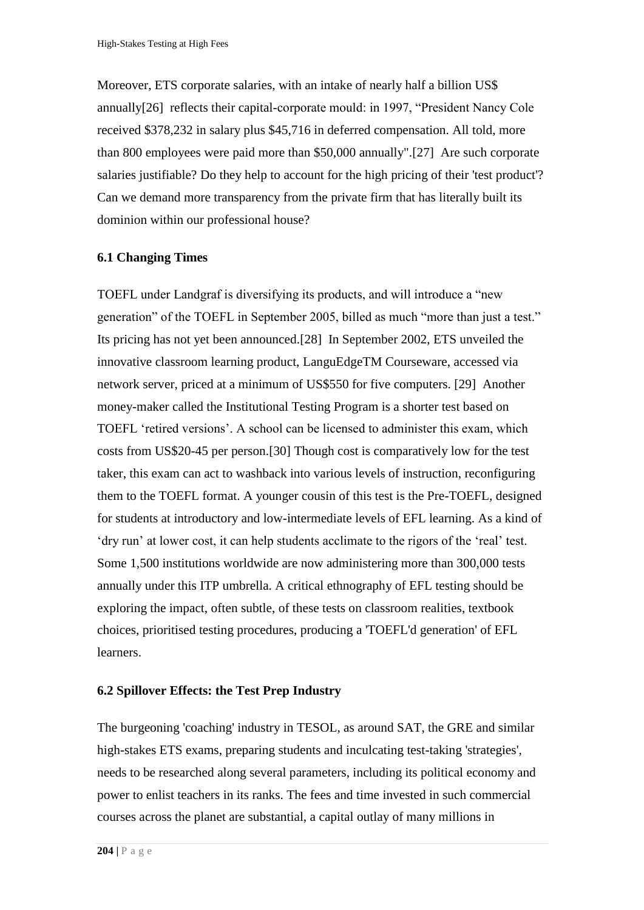Moreover, ETS corporate salaries, with an intake of nearly half a billion US\$ annuall[y\[26\]](http://www.jceps.com/index.php?pageID=article&articleID=21#_edn26) reflects their capital-corporate mould: in 1997, "President Nancy Cole received \$378,232 in salary plus \$45,716 in deferred compensation. All told, more than 800 employees were paid more than \$50,000 annually"[.\[27\]](http://www.jceps.com/index.php?pageID=article&articleID=21#_edn27) Are such corporate salaries justifiable? Do they help to account for the high pricing of their 'test product'? Can we demand more transparency from the private firm that has literally built its dominion within our professional house?

#### **6.1 Changing Times**

TOEFL under Landgraf is diversifying its products, and will introduce a "new generation" of the TOEFL in September 2005, billed as much "more than just a test." Its pricing has not yet been announced[.\[28\]](http://www.jceps.com/index.php?pageID=article&articleID=21#_edn28) In September 2002, ETS unveiled the innovative classroom learning product, LanguEdgeTM Courseware, accessed via network server, priced at a minimum of US\$550 for five computers. [\[29\]](http://www.jceps.com/index.php?pageID=article&articleID=21#_edn29) Another money-maker called the Institutional Testing Program is a shorter test based on TOEFL 'retired versions'. A school can be licensed to administer this exam, which costs from US\$20-45 per person[.\[30\] T](http://www.jceps.com/index.php?pageID=article&articleID=21#_edn30)hough cost is comparatively low for the test taker, this exam can act to washback into various levels of instruction, reconfiguring them to the TOEFL format. A younger cousin of this test is the Pre-TOEFL, designed for students at introductory and low-intermediate levels of EFL learning. As a kind of 'dry run' at lower cost, it can help students acclimate to the rigors of the 'real' test. Some 1,500 institutions worldwide are now administering more than 300,000 tests annually under this ITP umbrella. A critical ethnography of EFL testing should be exploring the impact, often subtle, of these tests on classroom realities, textbook choices, prioritised testing procedures, producing a 'TOEFL'd generation' of EFL learners.

#### **6.2 Spillover Effects: the Test Prep Industry**

The burgeoning 'coaching' industry in TESOL, as around SAT, the GRE and similar high-stakes ETS exams, preparing students and inculcating test-taking 'strategies', needs to be researched along several parameters, including its political economy and power to enlist teachers in its ranks. The fees and time invested in such commercial courses across the planet are substantial, a capital outlay of many millions in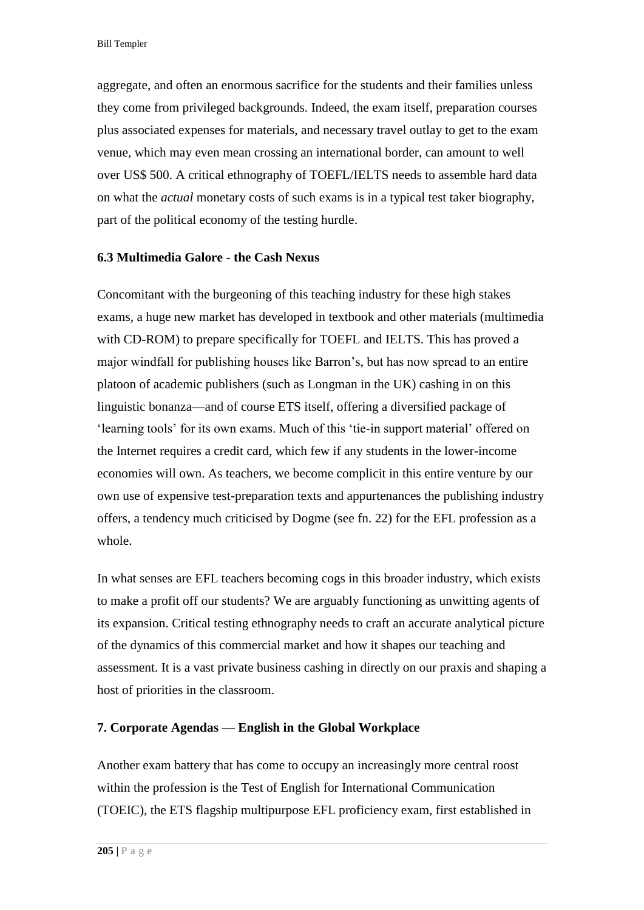aggregate, and often an enormous sacrifice for the students and their families unless they come from privileged backgrounds. Indeed, the exam itself, preparation courses plus associated expenses for materials, and necessary travel outlay to get to the exam venue, which may even mean crossing an international border, can amount to well over US\$ 500. A critical ethnography of TOEFL/IELTS needs to assemble hard data on what the *actual* monetary costs of such exams is in a typical test taker biography, part of the political economy of the testing hurdle.

### **6.3 Multimedia Galore - the Cash Nexus**

Concomitant with the burgeoning of this teaching industry for these high stakes exams, a huge new market has developed in textbook and other materials (multimedia with CD-ROM) to prepare specifically for TOEFL and IELTS. This has proved a major windfall for publishing houses like Barron's, but has now spread to an entire platoon of academic publishers (such as Longman in the UK) cashing in on this linguistic bonanza—and of course ETS itself, offering a diversified package of 'learning tools' for its own exams. Much of this 'tie-in support material' offered on the Internet requires a credit card, which few if any students in the lower-income economies will own. As teachers, we become complicit in this entire venture by our own use of expensive test-preparation texts and appurtenances the publishing industry offers, a tendency much criticised by Dogme (see fn. 22) for the EFL profession as a whole.

In what senses are EFL teachers becoming cogs in this broader industry, which exists to make a profit off our students? We are arguably functioning as unwitting agents of its expansion. Critical testing ethnography needs to craft an accurate analytical picture of the dynamics of this commercial market and how it shapes our teaching and assessment. It is a vast private business cashing in directly on our praxis and shaping a host of priorities in the classroom.

#### **7. Corporate Agendas — English in the Global Workplace**

Another exam battery that has come to occupy an increasingly more central roost within the profession is the Test of English for International Communication (TOEIC), the ETS flagship multipurpose EFL proficiency exam, first established in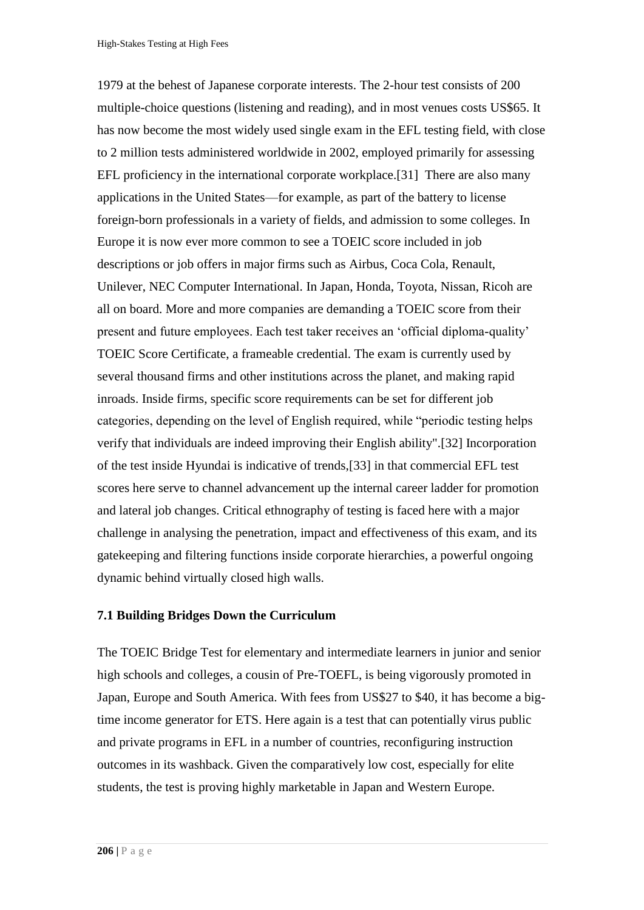1979 at the behest of Japanese corporate interests. The 2-hour test consists of 200 multiple-choice questions (listening and reading), and in most venues costs US\$65. It has now become the most widely used single exam in the EFL testing field, with close to 2 million tests administered worldwide in 2002, employed primarily for assessing EFL proficiency in the international corporate workplace[.\[31\]](http://www.jceps.com/index.php?pageID=article&articleID=21#_edn31) There are also many applications in the United States—for example, as part of the battery to license foreign-born professionals in a variety of fields, and admission to some colleges. In Europe it is now ever more common to see a TOEIC score included in job descriptions or job offers in major firms such as Airbus, Coca Cola, Renault, Unilever, NEC Computer International. In Japan, Honda, Toyota, Nissan, Ricoh are all on board. More and more companies are demanding a TOEIC score from their present and future employees. Each test taker receives an 'official diploma-quality' TOEIC Score Certificate, a frameable credential. The exam is currently used by several thousand firms and other institutions across the planet, and making rapid inroads. Inside firms, specific score requirements can be set for different job categories, depending on the level of English required, while "periodic testing helps verify that individuals are indeed improving their English ability"[.\[32\] I](http://www.jceps.com/index.php?pageID=article&articleID=21#_edn32)ncorporation of the test inside Hyundai is indicative of trends[,\[33\] i](http://www.jceps.com/index.php?pageID=article&articleID=21#_edn33)n that commercial EFL test scores here serve to channel advancement up the internal career ladder for promotion and lateral job changes. Critical ethnography of testing is faced here with a major challenge in analysing the penetration, impact and effectiveness of this exam, and its gatekeeping and filtering functions inside corporate hierarchies, a powerful ongoing dynamic behind virtually closed high walls.

#### **7.1 Building Bridges Down the Curriculum**

The TOEIC Bridge Test for elementary and intermediate learners in junior and senior high schools and colleges, a cousin of Pre-TOEFL, is being vigorously promoted in Japan, Europe and South America. With fees from US\$27 to \$40, it has become a bigtime income generator for ETS. Here again is a test that can potentially virus public and private programs in EFL in a number of countries, reconfiguring instruction outcomes in its washback. Given the comparatively low cost, especially for elite students, the test is proving highly marketable in Japan and Western Europe.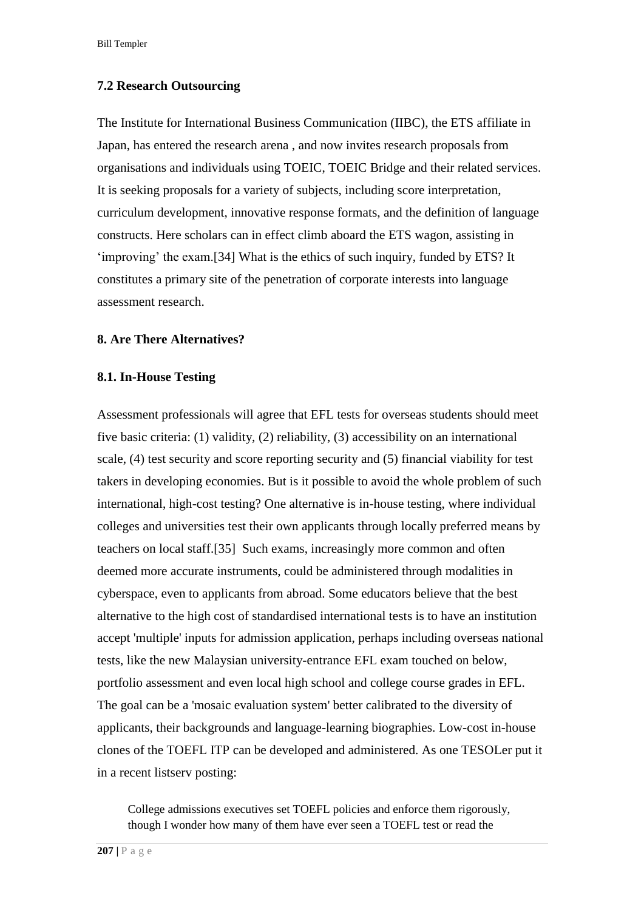#### **7.2 Research Outsourcing**

The Institute for International Business Communication (IIBC), the ETS affiliate in Japan, has entered the research arena , and now invites research proposals from organisations and individuals using TOEIC, TOEIC Bridge and their related services. It is seeking proposals for a variety of subjects, including score interpretation, curriculum development, innovative response formats, and the definition of language constructs. Here scholars can in effect climb aboard the ETS wagon, assisting in 'improving' the exam[.\[34\] W](http://www.jceps.com/index.php?pageID=article&articleID=21#_edn34)hat is the ethics of such inquiry, funded by ETS? It constitutes a primary site of the penetration of corporate interests into language assessment research.

#### **8. Are There Alternatives?**

#### **8.1. In-House Testing**

Assessment professionals will agree that EFL tests for overseas students should meet five basic criteria: (1) validity, (2) reliability, (3) accessibility on an international scale, (4) test security and score reporting security and (5) financial viability for test takers in developing economies. But is it possible to avoid the whole problem of such international, high-cost testing? One alternative is in-house testing, where individual colleges and universities test their own applicants through locally preferred means by teachers on local staff[.\[35\]](http://www.jceps.com/index.php?pageID=article&articleID=21#_edn35) Such exams, increasingly more common and often deemed more accurate instruments, could be administered through modalities in cyberspace, even to applicants from abroad. Some educators believe that the best alternative to the high cost of standardised international tests is to have an institution accept 'multiple' inputs for admission application, perhaps including overseas national tests, like the new Malaysian university-entrance EFL exam touched on below, portfolio assessment and even local high school and college course grades in EFL. The goal can be a 'mosaic evaluation system' better calibrated to the diversity of applicants, their backgrounds and language-learning biographies. Low-cost in-house clones of the TOEFL ITP can be developed and administered. As one TESOLer put it in a recent listserv posting:

College admissions executives set TOEFL policies and enforce them rigorously, though I wonder how many of them have ever seen a TOEFL test or read the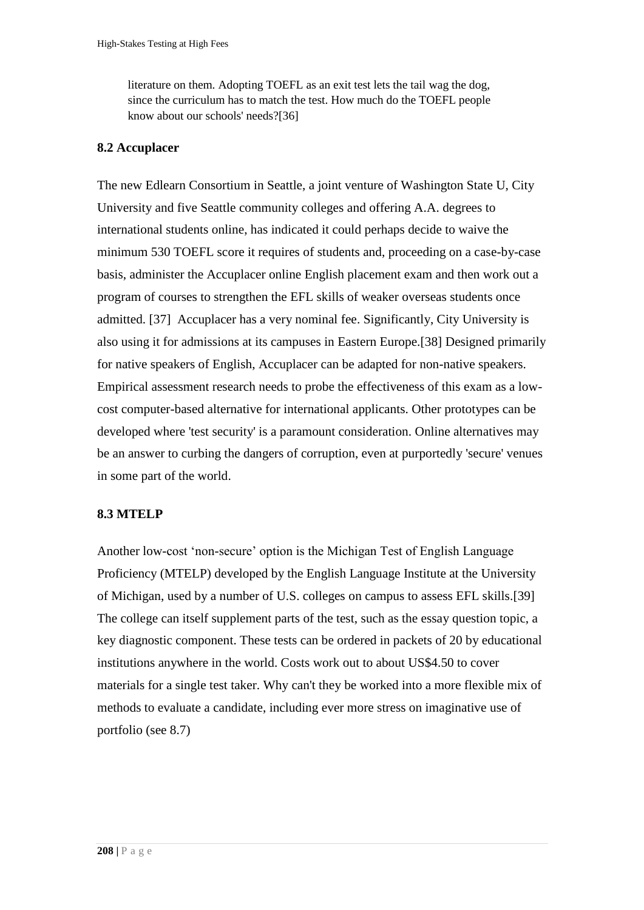literature on them. Adopting TOEFL as an exit test lets the tail wag the dog, since the curriculum has to match the test. How much do the TOEFL people know about our schools' needs[?\[36\]](http://www.jceps.com/index.php?pageID=article&articleID=21#_edn36) 

## **8.2 Accuplacer**

The new Edlearn Consortium in Seattle, a joint venture of Washington State U, City University and five Seattle community colleges and offering A.A. degrees to international students online, has indicated it could perhaps decide to waive the minimum 530 TOEFL score it requires of students and, proceeding on a case-by-case basis, administer the Accuplacer online English placement exam and then work out a program of courses to strengthen the EFL skills of weaker overseas students once admitted. [\[37\]](http://www.jceps.com/index.php?pageID=article&articleID=21#_edn37) Accuplacer has a very nominal fee. Significantly, City University is also using it for admissions at its campuses in Eastern Europe[.\[38\] D](http://www.jceps.com/index.php?pageID=article&articleID=21#_edn38)esigned primarily for native speakers of English, Accuplacer can be adapted for non-native speakers. Empirical assessment research needs to probe the effectiveness of this exam as a lowcost computer-based alternative for international applicants. Other prototypes can be developed where 'test security' is a paramount consideration. Online alternatives may be an answer to curbing the dangers of corruption, even at purportedly 'secure' venues in some part of the world.

## **8.3 MTELP**

Another low-cost 'non-secure' option is the Michigan Test of English Language Proficiency (MTELP) developed by the English Language Institute at the University of Michigan, used by a number of U.S. colleges on campus to assess EFL skills[.\[39\]](http://www.jceps.com/index.php?pageID=article&articleID=21#_edn39) The college can itself supplement parts of the test, such as the essay question topic, a key diagnostic component. These tests can be ordered in packets of 20 by educational institutions anywhere in the world. Costs work out to about US\$4.50 to cover materials for a single test taker. Why can't they be worked into a more flexible mix of methods to evaluate a candidate, including ever more stress on imaginative use of portfolio (see 8.7)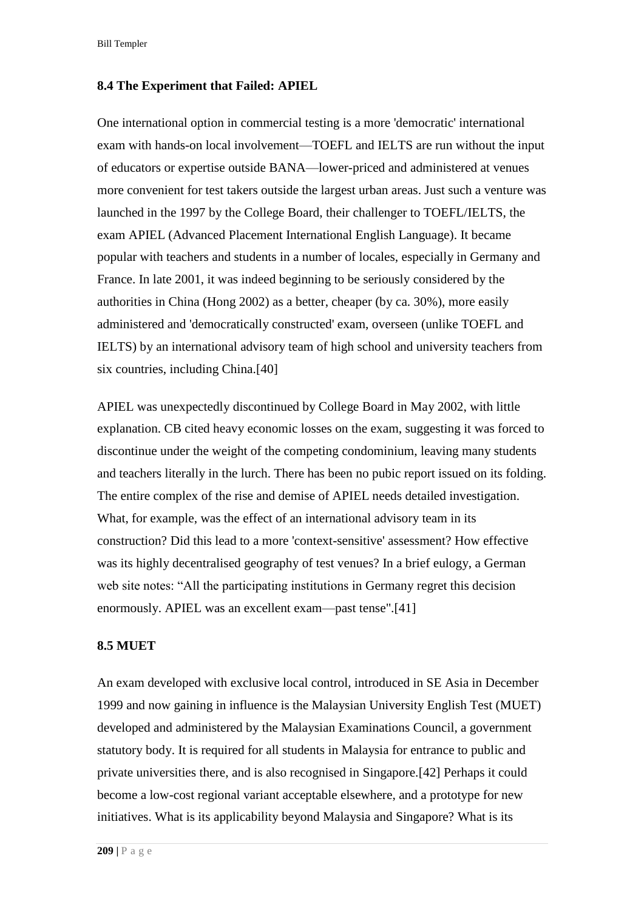Bill Templer

### **8.4 The Experiment that Failed: APIEL**

One international option in commercial testing is a more 'democratic' international exam with hands-on local involvement—TOEFL and IELTS are run without the input of educators or expertise outside BANA—lower-priced and administered at venues more convenient for test takers outside the largest urban areas. Just such a venture was launched in the 1997 by the College Board, their challenger to TOEFL/IELTS, the exam APIEL (Advanced Placement International English Language). It became popular with teachers and students in a number of locales, especially in Germany and France. In late 2001, it was indeed beginning to be seriously considered by the authorities in China (Hong 2002) as a better, cheaper (by ca. 30%), more easily administered and 'democratically constructed' exam, overseen (unlike TOEFL and IELTS) by an international advisory team of high school and university teachers from six countries, including China[.\[40\]](http://www.jceps.com/index.php?pageID=article&articleID=21#_edn40) 

APIEL was unexpectedly discontinued by College Board in May 2002, with little explanation. CB cited heavy economic losses on the exam, suggesting it was forced to discontinue under the weight of the competing condominium, leaving many students and teachers literally in the lurch. There has been no pubic report issued on its folding. The entire complex of the rise and demise of APIEL needs detailed investigation. What, for example, was the effect of an international advisory team in its construction? Did this lead to a more 'context-sensitive' assessment? How effective was its highly decentralised geography of test venues? In a brief eulogy, a German web site notes: "All the participating institutions in Germany regret this decision enormously. APIEL was an excellent exam—past tense"[.\[41\]](http://www.jceps.com/index.php?pageID=article&articleID=21#_edn41) 

### **8.5 MUET**

An exam developed with exclusive local control, introduced in SE Asia in December 1999 and now gaining in influence is the Malaysian University English Test (MUET) developed and administered by the Malaysian Examinations Council, a government statutory body. It is required for all students in Malaysia for entrance to public and private universities there, and is also recognised in Singapore[.\[42\] P](http://www.jceps.com/index.php?pageID=article&articleID=21#_edn42)erhaps it could become a low-cost regional variant acceptable elsewhere, and a prototype for new initiatives. What is its applicability beyond Malaysia and Singapore? What is its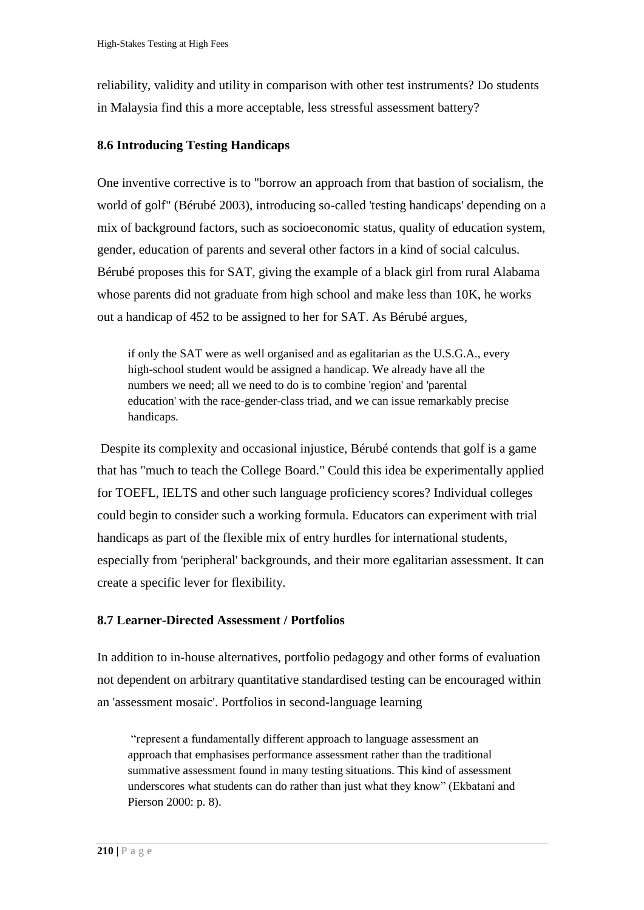reliability, validity and utility in comparison with other test instruments? Do students in Malaysia find this a more acceptable, less stressful assessment battery?

## **8.6 Introducing Testing Handicaps**

One inventive corrective is to "borrow an approach from that bastion of socialism, the world of golf" (Bérubé 2003), introducing so-called 'testing handicaps' depending on a mix of background factors, such as socioeconomic status, quality of education system, gender, education of parents and several other factors in a kind of social calculus. Bérubé proposes this for SAT, giving the example of a black girl from rural Alabama whose parents did not graduate from high school and make less than 10K, he works out a handicap of 452 to be assigned to her for SAT. As Bérubé argues,

if only the SAT were as well organised and as egalitarian as the U.S.G.A., every high-school student would be assigned a handicap. We already have all the numbers we need; all we need to do is to combine 'region' and 'parental education' with the race-gender-class triad, and we can issue remarkably precise handicaps.

Despite its complexity and occasional injustice, Bérubé contends that golf is a game that has "much to teach the College Board." Could this idea be experimentally applied for TOEFL, IELTS and other such language proficiency scores? Individual colleges could begin to consider such a working formula. Educators can experiment with trial handicaps as part of the flexible mix of entry hurdles for international students, especially from 'peripheral' backgrounds, and their more egalitarian assessment. It can create a specific lever for flexibility.

## **8.7 Learner-Directed Assessment / Portfolios**

In addition to in-house alternatives, portfolio pedagogy and other forms of evaluation not dependent on arbitrary quantitative standardised testing can be encouraged within an 'assessment mosaic'. Portfolios in second-language learning

"represent a fundamentally different approach to language assessment an approach that emphasises performance assessment rather than the traditional summative assessment found in many testing situations. This kind of assessment underscores what students can do rather than just what they know" (Ekbatani and Pierson 2000: p. 8).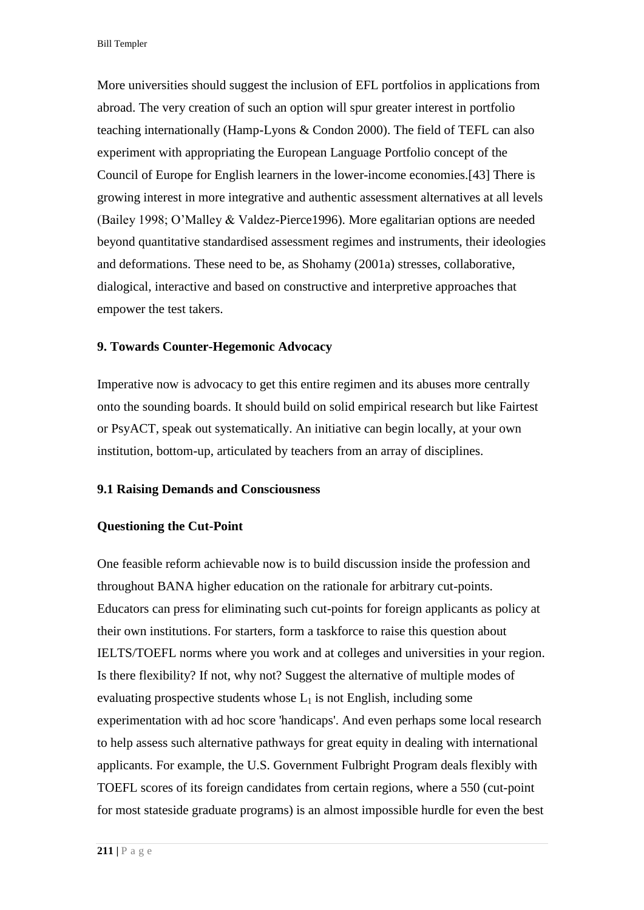More universities should suggest the inclusion of EFL portfolios in applications from abroad. The very creation of such an option will spur greater interest in portfolio teaching internationally (Hamp-Lyons & Condon 2000). The field of TEFL can also experiment with appropriating the European Language Portfolio concept of the Council of Europe for English learners in the lower-income economies[.\[43\] T](http://www.jceps.com/index.php?pageID=article&articleID=21#_edn43)here is growing interest in more integrative and authentic assessment alternatives at all levels (Bailey 1998; O'Malley & Valdez-Pierce1996). More egalitarian options are needed beyond quantitative standardised assessment regimes and instruments, their ideologies and deformations. These need to be, as Shohamy (2001a) stresses, collaborative, dialogical, interactive and based on constructive and interpretive approaches that empower the test takers.

#### **9. Towards Counter-Hegemonic Advocacy**

Imperative now is advocacy to get this entire regimen and its abuses more centrally onto the sounding boards. It should build on solid empirical research but like Fairtest or PsyACT, speak out systematically. An initiative can begin locally, at your own institution, bottom-up, articulated by teachers from an array of disciplines.

#### **9.1 Raising Demands and Consciousness**

#### **Questioning the Cut-Point**

One feasible reform achievable now is to build discussion inside the profession and throughout BANA higher education on the rationale for arbitrary cut-points. Educators can press for eliminating such cut-points for foreign applicants as policy at their own institutions. For starters, form a taskforce to raise this question about IELTS/TOEFL norms where you work and at colleges and universities in your region. Is there flexibility? If not, why not? Suggest the alternative of multiple modes of evaluating prospective students whose  $L_1$  is not English, including some experimentation with ad hoc score 'handicaps'. And even perhaps some local research to help assess such alternative pathways for great equity in dealing with international applicants. For example, the U.S. Government Fulbright Program deals flexibly with TOEFL scores of its foreign candidates from certain regions, where a 550 (cut-point for most stateside graduate programs) is an almost impossible hurdle for even the best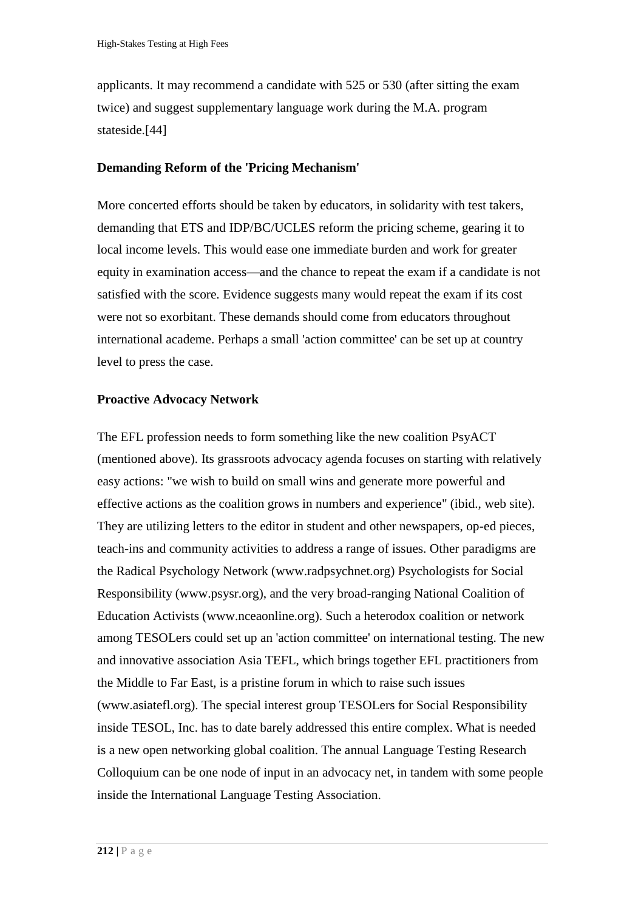applicants. It may recommend a candidate with 525 or 530 (after sitting the exam twice) and suggest supplementary language work during the M.A. program stateside[.\[44\]](http://www.jceps.com/index.php?pageID=article&articleID=21#_edn44) 

## **Demanding Reform of the 'Pricing Mechanism'**

More concerted efforts should be taken by educators, in solidarity with test takers, demanding that ETS and IDP/BC/UCLES reform the pricing scheme, gearing it to local income levels. This would ease one immediate burden and work for greater equity in examination access—and the chance to repeat the exam if a candidate is not satisfied with the score. Evidence suggests many would repeat the exam if its cost were not so exorbitant. These demands should come from educators throughout international academe. Perhaps a small 'action committee' can be set up at country level to press the case.

## **Proactive Advocacy Network**

The EFL profession needs to form something like the new coalition PsyACT (mentioned above). Its grassroots advocacy agenda focuses on starting with relatively easy actions: "we wish to build on small wins and generate more powerful and effective actions as the coalition grows in numbers and experience" (ibid., web site). They are utilizing letters to the editor in student and other newspapers, op-ed pieces, teach-ins and community activities to address a range of issues. Other paradigms are the Radical Psychology Network [\(www.radpsychnet.org\)](http://www.jceps.com/Local%20Settings/Temporary%20Internet%20Files/Content.IE5/AD7G90ZQ/www.radpsychnet.org) Psychologists for Social Responsibility [\(www.psysr.org\)](http://www.psysr.org/), and the very broad-ranging National Coalition of Education Activists [\(www.nceaonline.org\)](http://www.nceaonline.org/). Such a heterodox coalition or network among TESOLers could set up an 'action committee' on international testing. The new and innovative association Asia TEFL, which brings together EFL practitioners from the Middle to Far East, is a pristine forum in which to raise such issues [\(www.asiatefl.org\)](http://www.asiatefl.org/). The special interest group TESOLers for Social Responsibility inside TESOL, Inc. has to date barely addressed this entire complex. What is needed is a new open networking global coalition. The annual Language Testing Research Colloquium can be one node of input in an advocacy net, in tandem with some people inside the International Language Testing Association.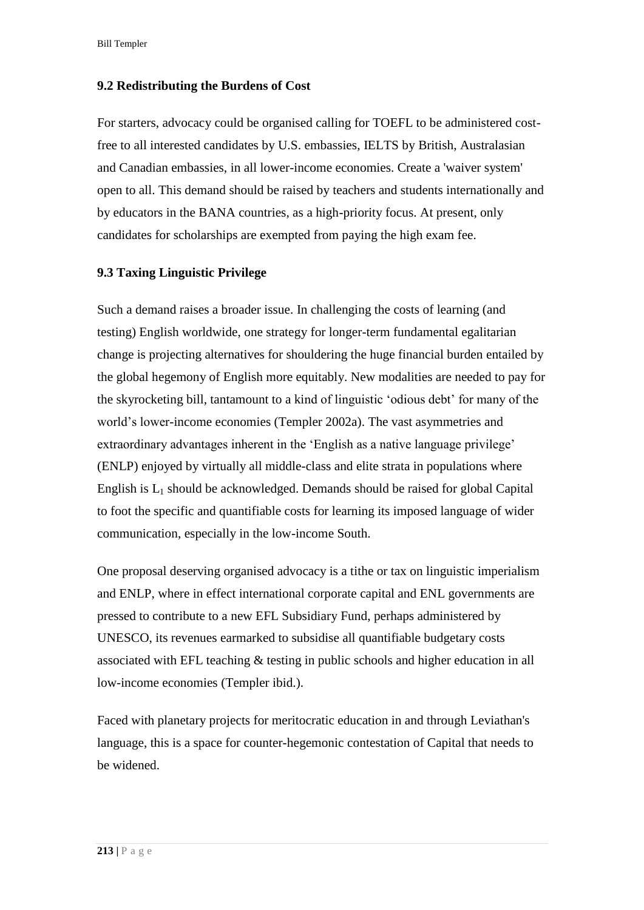## **9.2 Redistributing the Burdens of Cost**

For starters, advocacy could be organised calling for TOEFL to be administered costfree to all interested candidates by U.S. embassies, IELTS by British, Australasian and Canadian embassies, in all lower-income economies. Create a 'waiver system' open to all. This demand should be raised by teachers and students internationally and by educators in the BANA countries, as a high-priority focus. At present, only candidates for scholarships are exempted from paying the high exam fee.

## **9.3 Taxing Linguistic Privilege**

Such a demand raises a broader issue. In challenging the costs of learning (and testing) English worldwide, one strategy for longer-term fundamental egalitarian change is projecting alternatives for shouldering the huge financial burden entailed by the global hegemony of English more equitably. New modalities are needed to pay for the skyrocketing bill, tantamount to a kind of linguistic 'odious debt' for many of the world's lower-income economies (Templer 2002a). The vast asymmetries and extraordinary advantages inherent in the 'English as a native language privilege' (ENLP) enjoyed by virtually all middle-class and elite strata in populations where English is  $L_1$  should be acknowledged. Demands should be raised for global Capital to foot the specific and quantifiable costs for learning its imposed language of wider communication, especially in the low-income South.

One proposal deserving organised advocacy is a tithe or tax on linguistic imperialism and ENLP, where in effect international corporate capital and ENL governments are pressed to contribute to a new EFL Subsidiary Fund, perhaps administered by UNESCO, its revenues earmarked to subsidise all quantifiable budgetary costs associated with EFL teaching & testing in public schools and higher education in all low-income economies (Templer ibid.).

Faced with planetary projects for meritocratic education in and through Leviathan's language, this is a space for counter-hegemonic contestation of Capital that needs to be widened.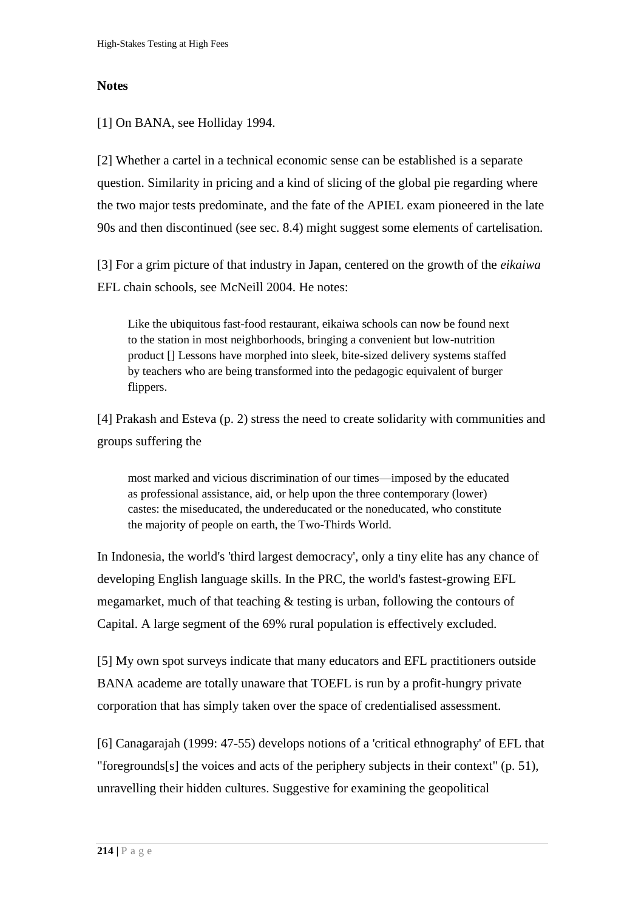## **Notes**

[\[1\] O](http://www.jceps.com/index.php?pageID=article&articleID=21#_ednref1)n BANA, see Holliday 1994.

[\[2\] W](http://www.jceps.com/index.php?pageID=article&articleID=21#_ednref2)hether a cartel in a technical economic sense can be established is a separate question. Similarity in pricing and a kind of slicing of the global pie regarding where the two major tests predominate, and the fate of the APIEL exam pioneered in the late 90s and then discontinued (see sec. 8.4) might suggest some elements of cartelisation.

[\[3\] F](http://www.jceps.com/index.php?pageID=article&articleID=21#_ednref3)or a grim picture of that industry in Japan, centered on the growth of the *eikaiwa* EFL chain schools, see McNeill 2004. He notes:

Like the ubiquitous fast-food restaurant, eikaiwa schools can now be found next to the station in most neighborhoods, bringing a convenient but low-nutrition product [] Lessons have morphed into sleek, bite-sized delivery systems staffed by teachers who are being transformed into the pedagogic equivalent of burger flippers.

[\[4\] P](http://www.jceps.com/index.php?pageID=article&articleID=21#_ednref4)rakash and Esteva (p. 2) stress the need to create solidarity with communities and groups suffering the

most marked and vicious discrimination of our times—imposed by the educated as professional assistance, aid, or help upon the three contemporary (lower) castes: the miseducated, the undereducated or the noneducated, who constitute the majority of people on earth, the Two-Thirds World.

In Indonesia, the world's 'third largest democracy', only a tiny elite has any chance of developing English language skills. In the PRC, the world's fastest-growing EFL megamarket, much of that teaching & testing is urban, following the contours of Capital. A large segment of the 69% rural population is effectively excluded.

[\[5\] M](http://www.jceps.com/index.php?pageID=article&articleID=21#_ednref5)y own spot surveys indicate that many educators and EFL practitioners outside BANA academe are totally unaware that TOEFL is run by a profit-hungry private corporation that has simply taken over the space of credentialised assessment.

[\[6\] C](http://www.jceps.com/index.php?pageID=article&articleID=21#_ednref6)anagarajah (1999: 47-55) develops notions of a 'critical ethnography' of EFL that "foregrounds[s] the voices and acts of the periphery subjects in their context" (p. 51), unravelling their hidden cultures. Suggestive for examining the geopolitical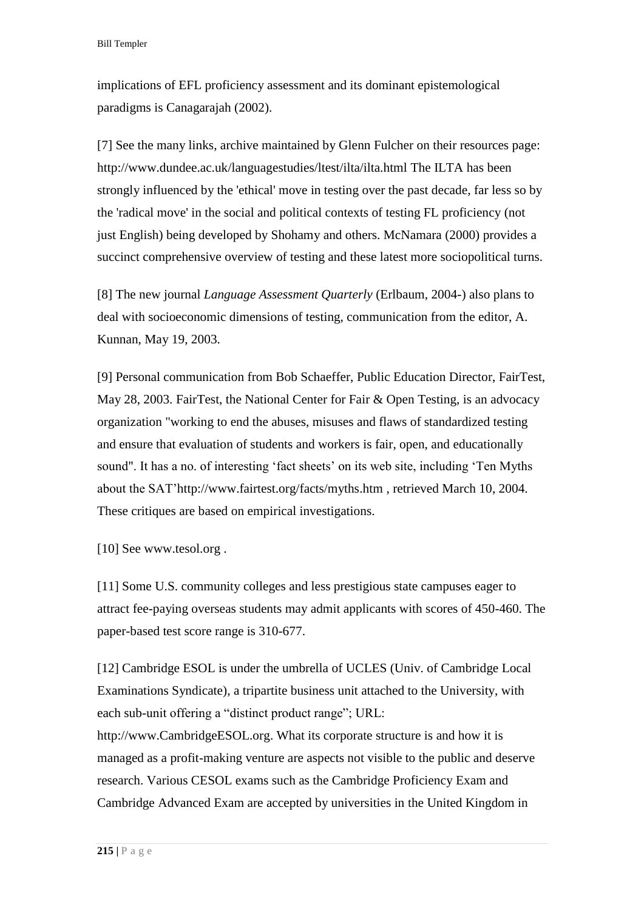implications of EFL proficiency assessment and its dominant epistemological paradigms is Canagarajah (2002).

[\[7\] S](http://www.jceps.com/index.php?pageID=article&articleID=21#_ednref7)ee the many links, archive maintained by Glenn Fulcher on their resources page: <http://www.dundee.ac.uk/languagestudies/ltest/ilta/ilta.html> The ILTA has been strongly influenced by the 'ethical' move in testing over the past decade, far less so by the 'radical move' in the social and political contexts of testing FL proficiency (not just English) being developed by Shohamy and others. McNamara (2000) provides a succinct comprehensive overview of testing and these latest more sociopolitical turns.

[\[8\] T](http://www.jceps.com/index.php?pageID=article&articleID=21#_ednref8)he new journal *Language Assessment Quarterly* (Erlbaum, 2004-) also plans to deal with socioeconomic dimensions of testing, communication from the editor, A. Kunnan, May 19, 2003.

[\[9\] P](http://www.jceps.com/index.php?pageID=article&articleID=21#_ednref9)ersonal communication from Bob Schaeffer, Public Education Director, FairTest, May 28, 2003. FairTest, the National Center for Fair & Open Testing, is an advocacy organization "working to end the abuses, misuses and flaws of standardized testing and ensure that evaluation of students and workers is fair, open, and educationally sound". It has a no. of interesting 'fact sheets' on its web site, including 'Ten Myths about the SAT['http://www.fairtest.org/facts/myths.htm](http://www.fairtest.org/facts/myths.htm) , retrieved March 10, 2004. These critiques are based on empirical investigations.

[\[10\] S](http://www.jceps.com/index.php?pageID=article&articleID=21#_ednref10)ee [www.tesol.org](http://www.tesol.org/).

[\[11\] S](http://www.jceps.com/index.php?pageID=article&articleID=21#_ednref11)ome U.S. community colleges and less prestigious state campuses eager to attract fee-paying overseas students may admit applicants with scores of 450-460. The paper-based test score range is 310-677.

[\[12\] C](http://www.jceps.com/index.php?pageID=article&articleID=21#_ednref12)ambridge ESOL is under the umbrella of UCLES (Univ. of Cambridge Local Examinations Syndicate), a tripartite business unit attached to the University, with each sub-unit offering a "distinct product range"; URL:

[http://www.CambridgeESOL.org.](http://www.cambridgeesol.org/) What its corporate structure is and how it is managed as a profit-making venture are aspects not visible to the public and deserve research. Various CESOL exams such as the Cambridge Proficiency Exam and Cambridge Advanced Exam are accepted by universities in the United Kingdom in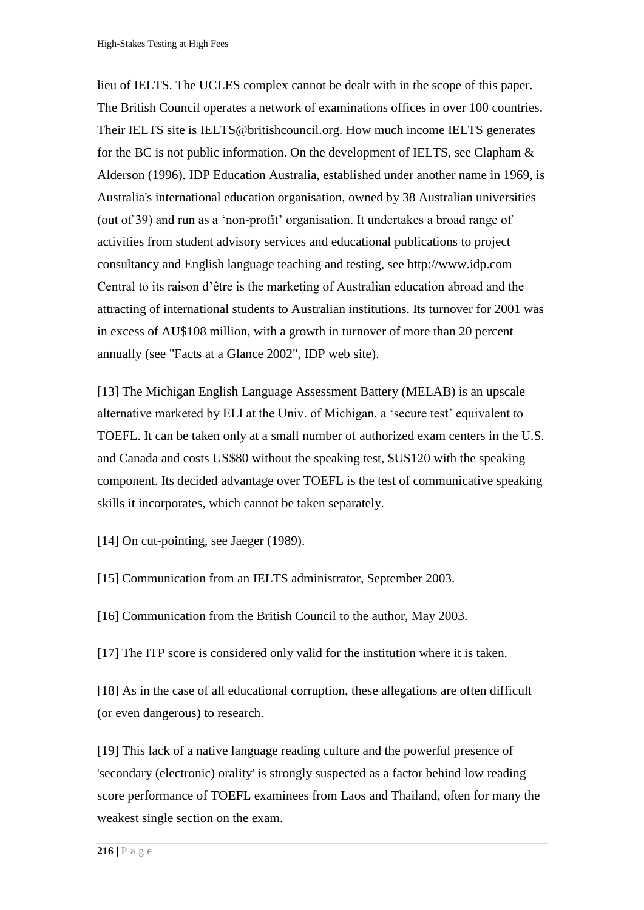lieu of IELTS. The UCLES complex cannot be dealt with in the scope of this paper. The British Council operates a network of examinations offices in over 100 countries. Their IELTS site is [IELTS@britishcouncil.org.](mailto:IELTS@britishcouncil.org) How much income IELTS generates for the BC is not public information. On the development of IELTS, see Clapham & Alderson (1996). IDP Education Australia, established under another name in 1969, is Australia's international education organisation, owned by 38 Australian universities (out of 39) and run as a 'non-profit' organisation. It undertakes a broad range of activities from student advisory services and educational publications to project consultancy and English language teaching and testing, see [http://www.idp.com](http://www.idp.com/) Central to its raison d'être is the marketing of Australian education abroad and the attracting of international students to Australian institutions. Its turnover for 2001 was in excess of AU\$108 million, with a growth in turnover of more than 20 percent annually (see "Facts at a Glance 2002", IDP web site).

[\[13\] T](http://www.jceps.com/index.php?pageID=article&articleID=21#_ednref13)he Michigan English Language Assessment Battery (MELAB) is an upscale alternative marketed by ELI at the Univ. of Michigan, a 'secure test' equivalent to TOEFL. It can be taken only at a small number of authorized exam centers in the U.S. and Canada and costs US\$80 without the speaking test, \$US120 with the speaking component. Its decided advantage over TOEFL is the test of communicative speaking skills it incorporates, which cannot be taken separately.

[\[14\] O](http://www.jceps.com/index.php?pageID=article&articleID=21#_ednref14)n cut-pointing, see Jaeger (1989).

[\[15\] C](http://www.jceps.com/index.php?pageID=article&articleID=21#_ednref15)ommunication from an IELTS administrator, September 2003.

[\[16\] C](http://www.jceps.com/index.php?pageID=article&articleID=21#_ednref16)ommunication from the British Council to the author, May 2003.

[\[17\] T](http://www.jceps.com/index.php?pageID=article&articleID=21#_ednref17)he ITP score is considered only valid for the institution where it is taken.

[\[18\] A](http://www.jceps.com/index.php?pageID=article&articleID=21#_ednref18)s in the case of all educational corruption, these allegations are often difficult (or even dangerous) to research.

[\[19\] T](http://www.jceps.com/index.php?pageID=article&articleID=21#_ednref19)his lack of a native language reading culture and the powerful presence of 'secondary (electronic) orality' is strongly suspected as a factor behind low reading score performance of TOEFL examinees from Laos and Thailand, often for many the weakest single section on the exam.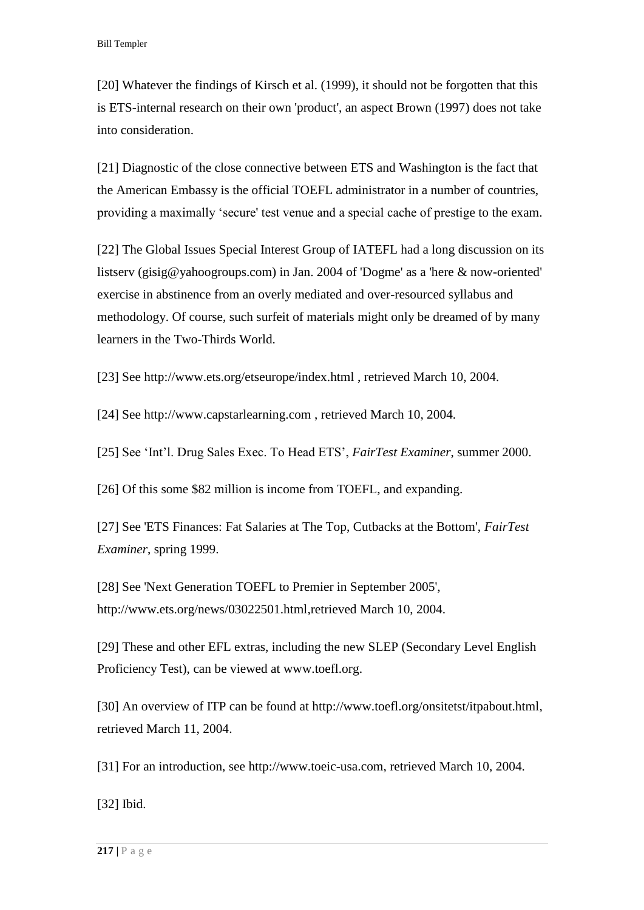[\[20\] W](http://www.jceps.com/index.php?pageID=article&articleID=21#_ednref20)hatever the findings of Kirsch et al. (1999), it should not be forgotten that this is ETS-internal research on their own 'product', an aspect Brown (1997) does not take into consideration.

[\[21\] D](http://www.jceps.com/index.php?pageID=article&articleID=21#_ednref21)iagnostic of the close connective between ETS and Washington is the fact that the American Embassy is the official TOEFL administrator in a number of countries, providing a maximally 'secure' test venue and a special cache of prestige to the exam.

[\[22\] T](http://www.jceps.com/index.php?pageID=article&articleID=21#_ednref22)he Global Issues Special Interest Group of IATEFL had a long discussion on its listserv (gisig@yahoogroups.com) in Jan. 2004 of 'Dogme' as a 'here & now-oriented' exercise in abstinence from an overly mediated and over-resourced syllabus and methodology. Of course, such surfeit of materials might only be dreamed of by many learners in the Two-Thirds World.

[\[23\] S](http://www.jceps.com/index.php?pageID=article&articleID=21#_ednref23)ee<http://www.ets.org/etseurope/index.html> , retrieved March 10, 2004.

[\[24\] S](http://www.jceps.com/index.php?pageID=article&articleID=21#_ednref24)ee [http://www.capstarlearning.com](http://www.capstarlearning.com/) , retrieved March 10, 2004.

[\[25\] S](http://www.jceps.com/index.php?pageID=article&articleID=21#_ednref25)ee 'Int'l. Drug Sales Exec. To Head ETS', *FairTest Examiner*, summer 2000.

[\[26\] O](http://www.jceps.com/index.php?pageID=article&articleID=21#_ednref26)f this some \$82 million is income from TOEFL, and expanding.

[\[27\] S](http://www.jceps.com/index.php?pageID=article&articleID=21#_ednref27)ee 'ETS Finances: Fat Salaries at The Top, Cutbacks at the Bottom', *FairTest Examiner*, spring 1999.

[\[28\] S](http://www.jceps.com/index.php?pageID=article&articleID=21#_ednref28)ee 'Next Generation TOEFL to Premier in September 2005', [http://www.ets.org/news/03022501.html,](http://www.ets.org/news/03022501.html)retrieved March 10, 2004.

[\[29\] T](http://www.jceps.com/index.php?pageID=article&articleID=21#_ednref29)hese and other EFL extras, including the new SLEP (Secondary Level English Proficiency Test), can be viewed at [www.toefl.org.](http://www.toefl.org/)

[\[30\] A](http://www.jceps.com/index.php?pageID=article&articleID=21#_ednref30)n overview of ITP can be found at [http://www.toefl.org/onsitetst/itpabout.html,](http://www.toefl.org/onsitetst/itpabout.html) retrieved March 11, 2004.

[\[31\] F](http://www.jceps.com/index.php?pageID=article&articleID=21#_ednref31)or an introduction, see [http://www.toeic-usa.com,](http://www.toeic-usa.com/) retrieved March 10, 2004.

[\[32\] I](http://www.jceps.com/index.php?pageID=article&articleID=21#_ednref32)bid.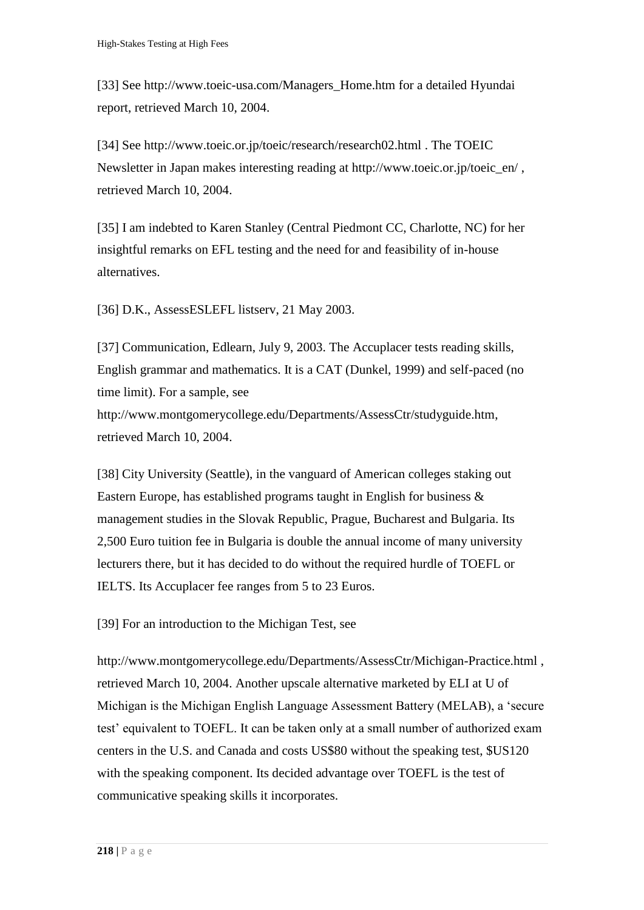[\[33\] S](http://www.jceps.com/index.php?pageID=article&articleID=21#_ednref33)ee [http://www.toeic-usa.com/Managers\\_Home.htm](http://www.toeic-usa.com/Managers_Home.htm) for a detailed Hyundai report, retrieved March 10, 2004.

[\[34\] S](http://www.jceps.com/index.php?pageID=article&articleID=21#_ednref34)ee<http://www.toeic.or.jp/toeic/research/research02.html> . The TOEIC Newsletter in Japan makes interesting reading at http://www.toeic.or.jp/toeic\_en/ , retrieved March 10, 2004.

[\[35\] I](http://www.jceps.com/index.php?pageID=article&articleID=21#_ednref35) am indebted to Karen Stanley (Central Piedmont CC, Charlotte, NC) for her insightful remarks on EFL testing and the need for and feasibility of in-house alternatives.

[\[36\] D](http://www.jceps.com/index.php?pageID=article&articleID=21#_ednref36).K., AssessESLEFL listserv, 21 May 2003.

[\[37\] C](http://www.jceps.com/index.php?pageID=article&articleID=21#_ednref37)ommunication, Edlearn, July 9, 2003. The Accuplacer tests reading skills, English grammar and mathematics. It is a CAT (Dunkel, 1999) and self-paced (no time limit). For a sample, see [http://www.montgomerycollege.edu/Departments/AssessCtr/studyguide.htm,](http://www.montgomerycollege.edu/Departments/AssessCtr/studyguide.htm) retrieved March 10, 2004.

[\[38\] C](http://www.jceps.com/index.php?pageID=article&articleID=21#_ednref38)ity University (Seattle), in the vanguard of American colleges staking out Eastern Europe, has established programs taught in English for business & management studies in the Slovak Republic, Prague, Bucharest and Bulgaria. Its 2,500 Euro tuition fee in Bulgaria is double the annual income of many university lecturers there, but it has decided to do without the required hurdle of TOEFL or IELTS. Its Accuplacer fee ranges from 5 to 23 Euros.

[\[39\] F](http://www.jceps.com/index.php?pageID=article&articleID=21#_ednref39)or an introduction to the Michigan Test, see

<http://www.montgomerycollege.edu/Departments/AssessCtr/Michigan-Practice.html> , retrieved March 10, 2004. Another upscale alternative marketed by ELI at U of Michigan is the Michigan English Language Assessment Battery (MELAB), a 'secure test' equivalent to TOEFL. It can be taken only at a small number of authorized exam centers in the U.S. and Canada and costs US\$80 without the speaking test, \$US120 with the speaking component. Its decided advantage over TOEFL is the test of communicative speaking skills it incorporates.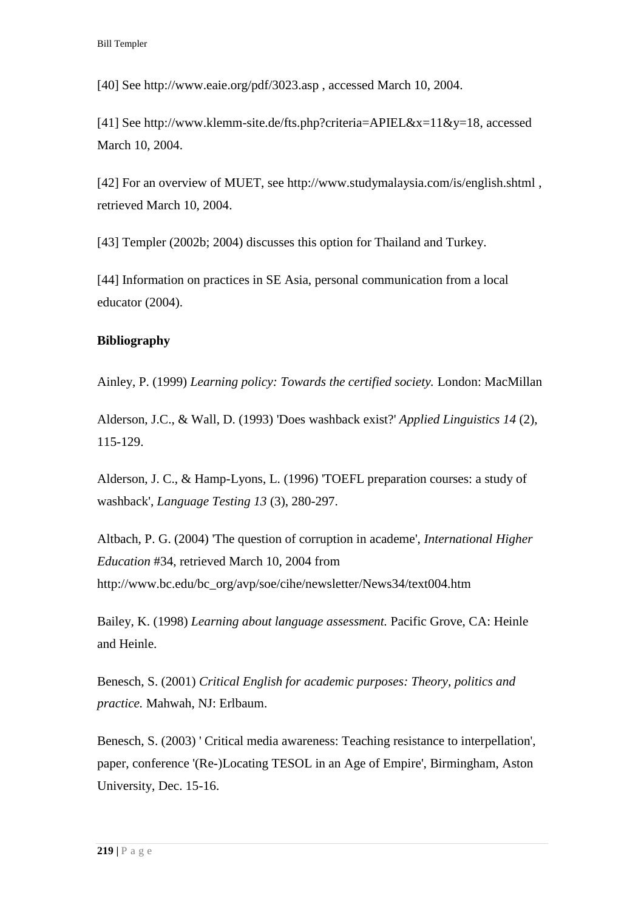[\[40\] S](http://www.jceps.com/index.php?pageID=article&articleID=21#_ednref40)ee<http://www.eaie.org/pdf/3023.asp> , accessed March 10, 2004.

[\[41\] S](http://www.jceps.com/index.php?pageID=article&articleID=21#_ednref41)ee [http://www.klemm-site.de/fts.php?criteria=APIEL&x=11&y=18,](http://www.klemm-site.de/fts.php?criteria=APIEL&x=11&y=18) accessed March 10, 2004.

[\[42\] F](http://www.jceps.com/index.php?pageID=article&articleID=21#_ednref42)or an overview of MUET, see<http://www.studymalaysia.com/is/english.shtml> , retrieved March 10, 2004.

[\[43\] T](http://www.jceps.com/index.php?pageID=article&articleID=21#_ednref43)empler (2002b; 2004) discusses this option for Thailand and Turkey.

[\[44\] I](http://www.jceps.com/index.php?pageID=article&articleID=21#_ednref44)nformation on practices in SE Asia, personal communication from a local educator (2004).

## **Bibliography**

Ainley, P. (1999) *Learning policy: Towards the certified society.* London: MacMillan

Alderson, J.C., & Wall, D. (1993) 'Does washback exist?' *Applied Linguistics 14* (2), 115-129.

Alderson, J. C., & Hamp-Lyons, L. (1996) 'TOEFL preparation courses: a study of washback', *Language Testing 13* (3), 280-297.

Altbach, P. G. (2004) 'The question of corruption in academe', *International Higher Education* #34, retrieved March 10, 2004 from [http://www.bc.edu/bc\\_org/avp/soe/cihe/newsletter/News34/text004.htm](http://www.bc.edu/bc_org/avp/soe/cihe/newsletter/News34/text004.htm)

Bailey, K. (1998) *Learning about language assessment.* Pacific Grove, CA: Heinle and Heinle.

Benesch, S. (2001) *Critical English for academic purposes: Theory, politics and practice.* Mahwah, NJ: Erlbaum.

Benesch, S. (2003) ' Critical media awareness: Teaching resistance to interpellation', paper, conference '(Re-)Locating TESOL in an Age of Empire', Birmingham, Aston University, Dec. 15-16.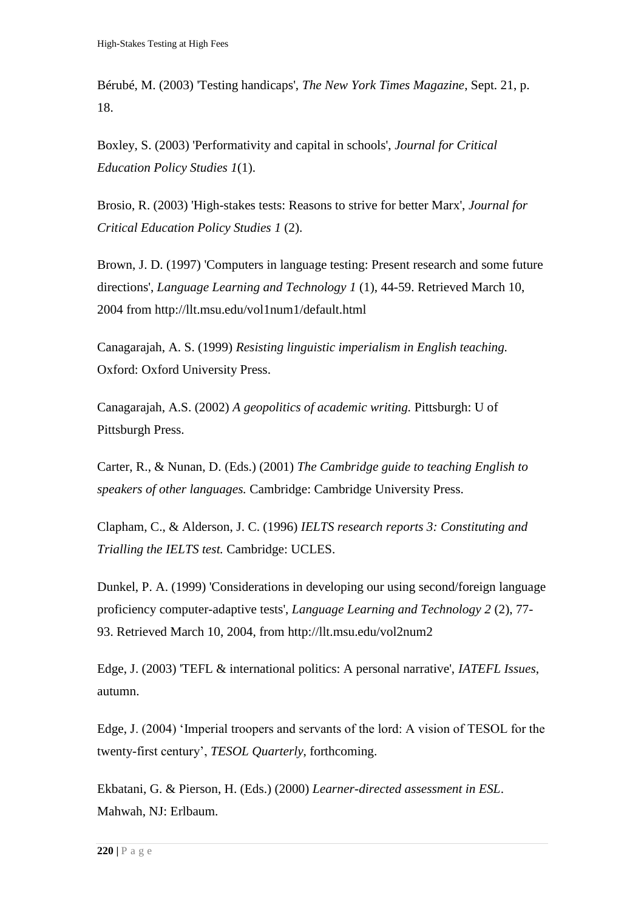Bérubé, M. (2003) 'Testing handicaps', *The New York Times Magazine*, Sept. 21, p. 18.

Boxley, S. (2003) 'Performativity and capital in schools', *Journal for Critical Education Policy Studies 1*(1).

Brosio, R. (2003) 'High-stakes tests: Reasons to strive for better Marx', *Journal for Critical Education Policy Studies 1* (2).

Brown, J. D. (1997) 'Computers in language testing: Present research and some future directions', *Language Learning and Technology 1* (1), 44-59. Retrieved March 10, 2004 from<http://llt.msu.edu/vol1num1/default.html>

Canagarajah, A. S. (1999) *Resisting linguistic imperialism in English teaching.* Oxford: Oxford University Press.

Canagarajah, A.S. (2002) *A geopolitics of academic writing.* Pittsburgh: U of Pittsburgh Press.

Carter, R., & Nunan, D. (Eds.) (2001) *The Cambridge guide to teaching English to speakers of other languages.* Cambridge: Cambridge University Press.

Clapham, C., & Alderson, J. C. (1996) *IELTS research reports 3: Constituting and Trialling the IELTS test.* Cambridge: UCLES.

Dunkel, P. A. (1999) 'Considerations in developing our using second/foreign language proficiency computer-adaptive tests', *Language Learning and Technology 2* (2), 77- 93. Retrieved March 10, 2004, from<http://llt.msu.edu/vol2num2>

Edge, J. (2003) 'TEFL & international politics: A personal narrative', *IATEFL Issues*, autumn.

Edge, J. (2004) 'Imperial troopers and servants of the lord: A vision of TESOL for the twenty-first century', *TESOL Quarterly*, forthcoming.

Ekbatani, G. & Pierson, H. (Eds.) (2000) *Learner-directed assessment in ESL*. Mahwah, NJ: Erlbaum.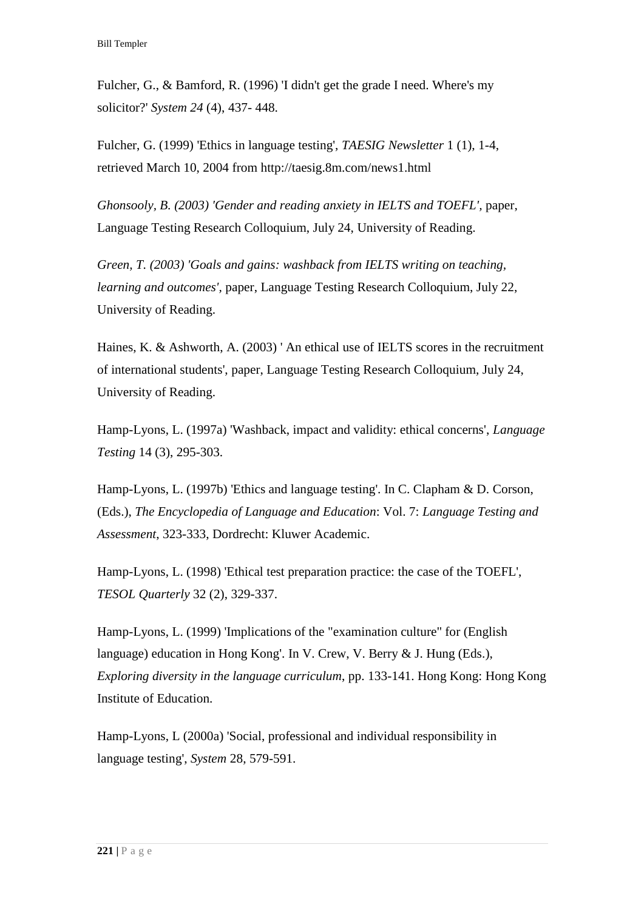Fulcher, G., & Bamford, R. (1996) 'I didn't get the grade I need. Where's my solicitor?' *System 24* (4), 437- 448.

Fulcher, G. (1999) 'Ethics in language testing', *TAESIG Newsletter* 1 (1), 1-4, retrieved March 10, 2004 from<http://taesig.8m.com/news1.html>

*Ghonsooly, B. (2003) 'Gender and reading anxiety in IELTS and TOEFL', paper,* Language Testing Research Colloquium, July 24, University of Reading.

*Green, T. (2003) 'Goals and gains: washback from IELTS writing on teaching, learning and outcomes',* paper, Language Testing Research Colloquium, July 22, University of Reading.

Haines, K. & Ashworth, A. (2003) ' An ethical use of IELTS scores in the recruitment of international students', paper, Language Testing Research Colloquium, July 24, University of Reading.

Hamp-Lyons, L. (1997a) 'Washback, impact and validity: ethical concerns', *Language Testing* 14 (3), 295-303.

Hamp-Lyons, L. (1997b) 'Ethics and language testing'. In C. Clapham & D. Corson, (Eds.), *The Encyclopedia of Language and Education*: Vol. 7: *Language Testing and Assessment*, 323-333, Dordrecht: Kluwer Academic.

Hamp-Lyons, L. (1998) 'Ethical test preparation practice: the case of the TOEFL', *TESOL Quarterly* 32 (2), 329-337.

Hamp-Lyons, L. (1999) 'Implications of the "examination culture" for (English language) education in Hong Kong'. In V. Crew, V. Berry & J. Hung (Eds.), *Exploring diversity in the language curriculum*, pp. 133-141. Hong Kong: Hong Kong Institute of Education.

Hamp-Lyons, L (2000a) 'Social, professional and individual responsibility in language testing', *System* 28, 579-591.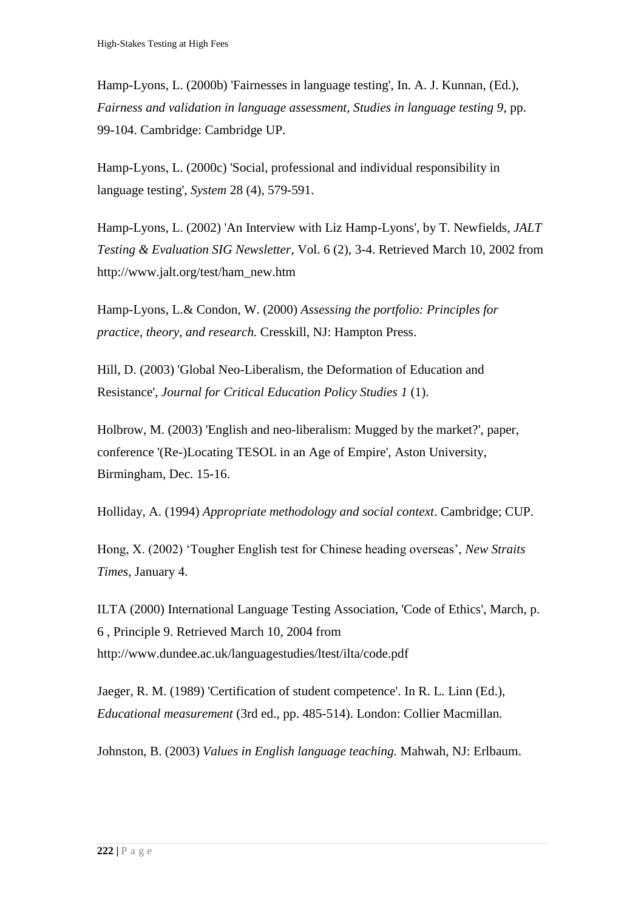Hamp-Lyons, L. (2000b) 'Fairnesses in language testing', In. A. J. Kunnan, (Ed.), *Fairness and validation in language assessment, Studies in language testing 9*, pp. 99-104. Cambridge: Cambridge UP.

Hamp-Lyons, L. (2000c) 'Social, professional and individual responsibility in language testing', *System* 28 (4), 579-591.

Hamp-Lyons, L. (2002) 'An Interview with Liz Hamp-Lyons', by T. Newfields, *JALT Testing & Evaluation SIG Newsletter*, Vol. 6 (2), 3-4. Retrieved March 10, 2002 from [http://www.jalt.org/test/ham\\_new.htm](http://www.jalt.org/test/ham_new.htm)

Hamp-Lyons, L.& Condon, W. (2000) *Assessing the portfolio: Principles for practice, theory, and research.* Cresskill, NJ: Hampton Press.

Hill, D. (2003) 'Global Neo-Liberalism, the Deformation of Education and Resistance', *Journal for Critical Education Policy Studies 1* (1).

Holbrow, M. (2003) 'English and neo-liberalism: Mugged by the market?', paper, conference '(Re-)Locating TESOL in an Age of Empire', Aston University, Birmingham, Dec. 15-16.

Holliday, A. (1994) *Appropriate methodology and social context*. Cambridge; CUP.

Hong, X. (2002) 'Tougher English test for Chinese heading overseas', *New Straits Times*, January 4.

ILTA (2000) International Language Testing Association, 'Code of Ethics', March, p. 6 , Principle 9. Retrieved March 10, 2004 from <http://www.dundee.ac.uk/languagestudies/ltest/ilta/code.pdf>

Jaeger, R. M. (1989) 'Certification of student competence'. In R. L. Linn (Ed.), *Educational measurement* (3rd ed., pp. 485-514). London: Collier Macmillan.

Johnston, B. (2003) *Values in English language teaching.* Mahwah, NJ: Erlbaum.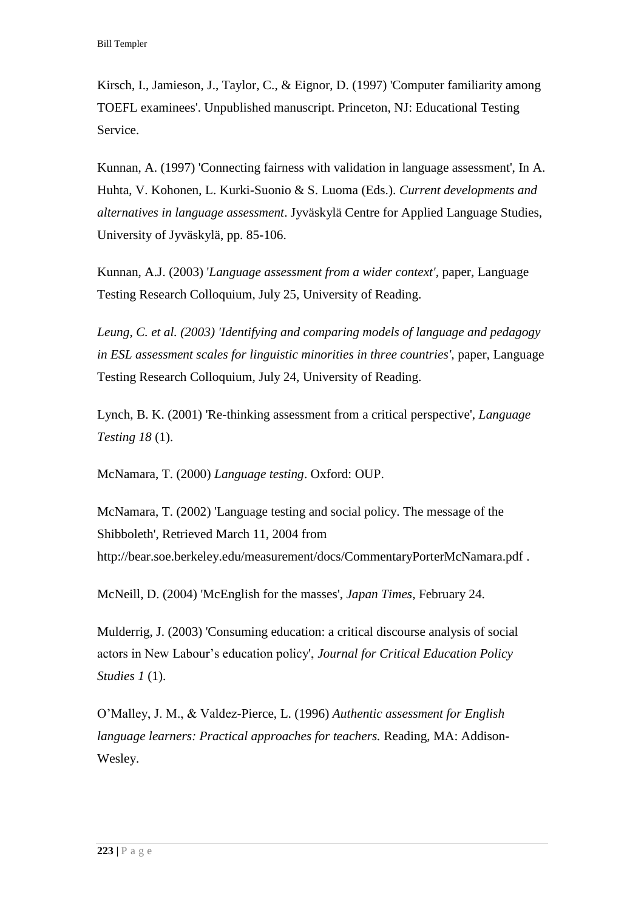Kirsch, I., Jamieson, J., Taylor, C., & Eignor, D. (1997) 'Computer familiarity among TOEFL examinees'. Unpublished manuscript. Princeton, NJ: Educational Testing Service.

Kunnan, A. (1997) 'Connecting fairness with validation in language assessment', In A. Huhta, V. Kohonen, L. Kurki-Suonio & S. Luoma (Eds.). *Current developments and alternatives in language assessment*. Jyväskylä Centre for Applied Language Studies, University of Jyväskylä, pp. 85-106.

Kunnan, A.J. (2003) '*Language assessment from a wider context',* paper, Language Testing Research Colloquium, July 25, University of Reading.

*Leung, C. et al. (2003) 'Identifying and comparing models of language and pedagogy in ESL assessment scales for linguistic minorities in three countries'*, paper, Language Testing Research Colloquium, July 24, University of Reading.

Lynch, B. K. (2001) 'Re-thinking assessment from a critical perspective', *Language Testing 18* (1).

McNamara, T. (2000) *Language testing*. Oxford: OUP.

McNamara, T. (2002) 'Language testing and social policy. The message of the Shibboleth', Retrieved March 11, 2004 from <http://bear.soe.berkeley.edu/measurement/docs/CommentaryPorterMcNamara.pdf> .

McNeill, D. (2004) 'McEnglish for the masses', *Japan Times*, February 24.

Mulderrig, J. (2003) 'Consuming education: a critical discourse analysis of social actors in New Labour's education policy', *Journal for Critical Education Policy Studies 1* (1).

O'Malley, J. M., & Valdez-Pierce, L. (1996) *Authentic assessment for English language learners: Practical approaches for teachers.* Reading, MA: Addison-Wesley.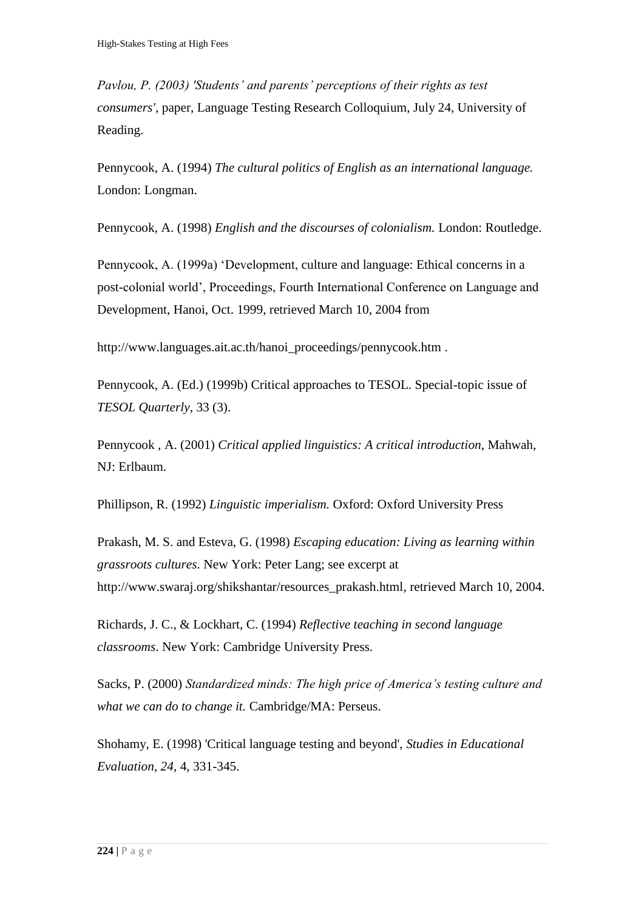*Pavlou, P. (2003) 'Students' and parents' perceptions of their rights as test consumers',* paper, Language Testing Research Colloquium, July 24, University of Reading.

Pennycook, A. (1994) *The cultural politics of English as an international language.* London: Longman.

Pennycook, A. (1998) *English and the discourses of colonialism.* London: Routledge.

Pennycook, A. (1999a) 'Development, culture and language: Ethical concerns in a post-colonial world', Proceedings, Fourth International Conference on Language and Development, Hanoi, Oct. 1999, retrieved March 10, 2004 from

[http://www.languages.ait.ac.th/hanoi\\_proceedings/pennycook.htm](http://www.languages.ait.ac.th/hanoi_proceedings/pennycook.htm) .

Pennycook, A. (Ed.) (1999b) Critical approaches to TESOL. Special-topic issue of *TESOL Quarterly*, 33 (3).

Pennycook , A. (2001) *Critical applied linguistics: A critical introduction*, Mahwah, NJ: Erlbaum.

Phillipson, R. (1992) *Linguistic imperialism.* Oxford: Oxford University Press

Prakash, M. S. and Esteva, G. (1998) *Escaping education: Living as learning within grassroots cultures.* New York: Peter Lang; see excerpt at [http://www.swaraj.org/shikshantar/resources\\_prakash.html,](http://www.swaraj.org/shikshantar/resources_prakash.html) retrieved March 10, 2004.

Richards, J. C., & Lockhart, C. (1994) *Reflective teaching in second language classrooms*. New York: Cambridge University Press.

Sacks, P. (2000) *Standardized minds: The high price of America's testing culture and what we can do to change it.* Cambridge/MA: Perseus.

Shohamy, E. (1998) 'Critical language testing and beyond', *Studies in Educational Evaluation*, *24*, 4, 331-345.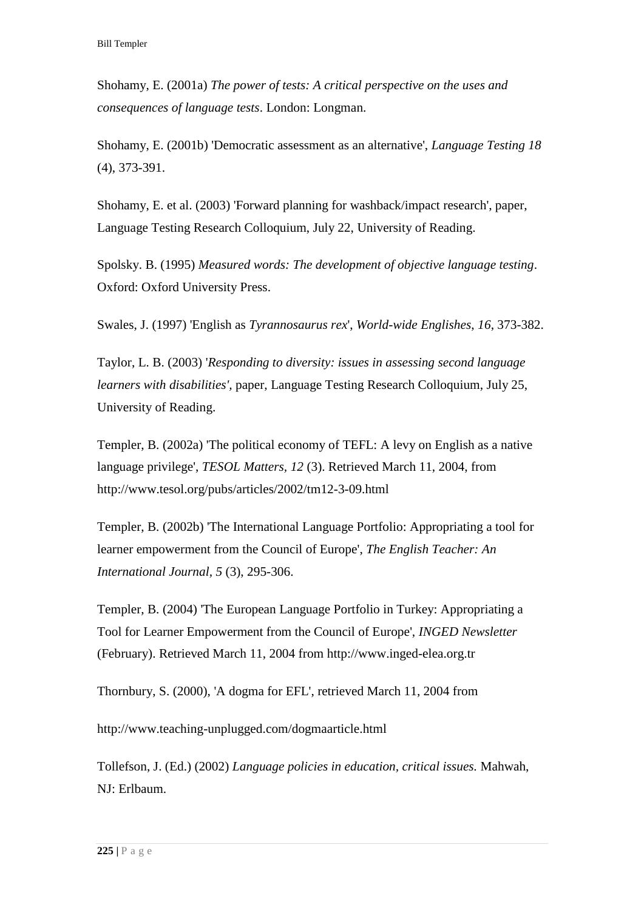Shohamy, E. (2001a) *The power of tests: A critical perspective on the uses and consequences of language tests*. London: Longman.

Shohamy, E. (2001b) 'Democratic assessment as an alternative', *Language Testing 18* (4), 373-391.

Shohamy, E. et al. (2003) 'Forward planning for washback/impact research', paper, Language Testing Research Colloquium, July 22, University of Reading.

Spolsky. B. (1995) *Measured words: The development of objective language testing*. Oxford: Oxford University Press.

Swales, J. (1997) 'English as *Tyrannosaurus rex*', *World-wide Englishes*, *16*, 373-382.

Taylor, L. B. (2003) '*Responding to diversity: issues in assessing second language learners with disabilities',* paper, Language Testing Research Colloquium, July 25, University of Reading.

Templer, B. (2002a) 'The political economy of TEFL: A levy on English as a native language privilege', *TESOL Matters, 12* (3). Retrieved March 11, 2004, from <http://www.tesol.org/pubs/articles/2002/tm12-3-09.html>

Templer, B. (2002b) 'The International Language Portfolio: Appropriating a tool for learner empowerment from the Council of Europe', *The English Teacher: An International Journal, 5* (3), 295-306.

Templer, B. (2004) 'The European Language Portfolio in Turkey: Appropriating a Tool for Learner Empowerment from the Council of Europe', *INGED Newsletter* (February). Retrieved March 11, 2004 from [http://www.inged-elea.org.tr](http://www.inged-elea.org.tr/)

Thornbury, S. (2000), 'A dogma for EFL', retrieved March 11, 2004 from

<http://www.teaching-unplugged.com/dogmaarticle.html>

Tollefson, J. (Ed.) (2002) *Language policies in education, critical issues.* Mahwah, NJ: Erlbaum.